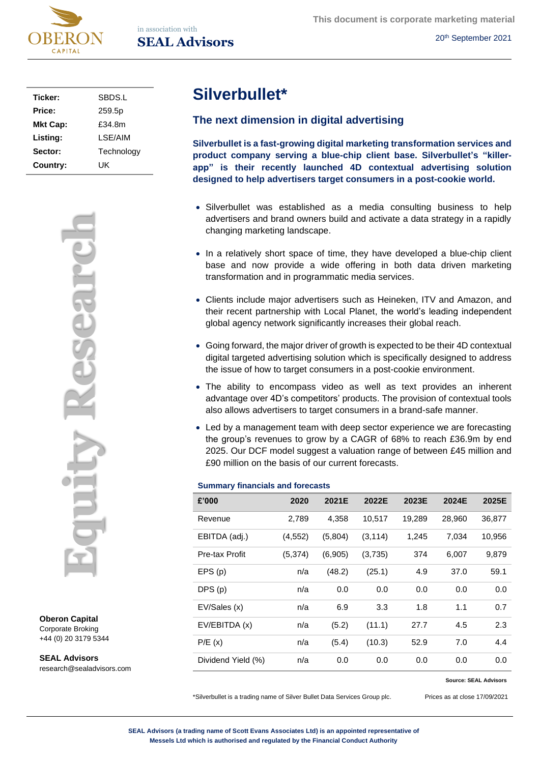

**This document is corporate marketing material**

20th September 2021

| Ticker:         | SBDS.L     |
|-----------------|------------|
| Price:          | 259.5p     |
| <b>Mkt Cap:</b> | £34.8m     |
| Listing:        | I SE/AIM   |
| Sector:         | Technology |
| Country:        | UK         |



**Oberon Capital** Corporate Broking +44 (0) 20 3179 5344

**SEAL Advisors** research@sealadvisors.com

# **Silverbullet\***

# **The next dimension in digital advertising**

**Silverbullet is a fast-growing digital marketing transformation services and product company serving a blue-chip client base. Silverbullet's "killerapp" is their recently launched 4D contextual advertising solution designed to help advertisers target consumers in a post-cookie world.**

- Silverbullet was established as a media consulting business to help advertisers and brand owners build and activate a data strategy in a rapidly changing marketing landscape.
- In a relatively short space of time, they have developed a blue-chip client base and now provide a wide offering in both data driven marketing transformation and in programmatic media services.
- Clients include major advertisers such as Heineken, ITV and Amazon, and their recent partnership with Local Planet, the world's leading independent global agency network significantly increases their global reach.
- Going forward, the major driver of growth is expected to be their 4D contextual digital targeted advertising solution which is specifically designed to address the issue of how to target consumers in a post-cookie environment.
- The ability to encompass video as well as text provides an inherent advantage over 4D's competitors' products. The provision of contextual tools also allows advertisers to target consumers in a brand-safe manner.
- Led by a management team with deep sector experience we are forecasting the group's revenues to grow by a CAGR of 68% to reach £36.9m by end 2025. Our DCF model suggest a valuation range of between £45 million and £90 million on the basis of our current forecasts.

#### **Summary financials and forecasts**

| £'000              | 2020     | 2021E   | 2022E    | 2023E  | 2024E  | 2025E  |
|--------------------|----------|---------|----------|--------|--------|--------|
| Revenue            | 2,789    | 4,358   | 10,517   | 19,289 | 28,960 | 36,877 |
| EBITDA (adj.)      | (4, 552) | (5,804) | (3, 114) | 1,245  | 7,034  | 10,956 |
| Pre-tax Profit     | (5, 374) | (6,905) | (3,735)  | 374    | 6,007  | 9,879  |
| EPS(p)             | n/a      | (48.2)  | (25.1)   | 4.9    | 37.0   | 59.1   |
| DPS(p)             | n/a      | 0.0     | 0.0      | 0.0    | 0.0    | 0.0    |
| EV/Sales (x)       | n/a      | 6.9     | 3.3      | 1.8    | 1.1    | 0.7    |
| EV/EBITDA (x)      | n/a      | (5.2)   | (11.1)   | 27.7   | 4.5    | 2.3    |
| P/E(x)             | n/a      | (5.4)   | (10.3)   | 52.9   | 7.0    | 4.4    |
| Dividend Yield (%) | n/a      | 0.0     | 0.0      | 0.0    | 0.0    | 0.0    |

#### **Source: SEAL Advisors**

\*Silverbullet is a trading name of Silver Bullet Data Services Group plc. Prices as at close 17/09/2021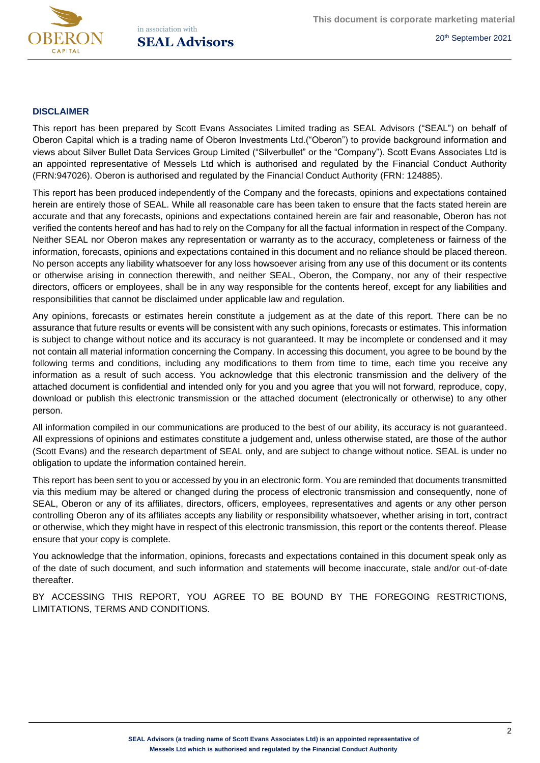

## **DISCLAIMER**

This report has been prepared by Scott Evans Associates Limited trading as SEAL Advisors ("SEAL") on behalf of Oberon Capital which is a trading name of Oberon Investments Ltd.("Oberon") to provide background information and views about Silver Bullet Data Services Group Limited ("Silverbullet" or the "Company"). Scott Evans Associates Ltd is an appointed representative of Messels Ltd which is authorised and regulated by the Financial Conduct Authority (FRN:947026). Oberon is authorised and regulated by the Financial Conduct Authority (FRN: 124885).

This report has been produced independently of the Company and the forecasts, opinions and expectations contained herein are entirely those of SEAL. While all reasonable care has been taken to ensure that the facts stated herein are accurate and that any forecasts, opinions and expectations contained herein are fair and reasonable, Oberon has not verified the contents hereof and has had to rely on the Company for all the factual information in respect of the Company. Neither SEAL nor Oberon makes any representation or warranty as to the accuracy, completeness or fairness of the information, forecasts, opinions and expectations contained in this document and no reliance should be placed thereon. No person accepts any liability whatsoever for any loss howsoever arising from any use of this document or its contents or otherwise arising in connection therewith, and neither SEAL, Oberon, the Company, nor any of their respective directors, officers or employees, shall be in any way responsible for the contents hereof, except for any liabilities and responsibilities that cannot be disclaimed under applicable law and regulation.

Any opinions, forecasts or estimates herein constitute a judgement as at the date of this report. There can be no assurance that future results or events will be consistent with any such opinions, forecasts or estimates. This information is subject to change without notice and its accuracy is not guaranteed. It may be incomplete or condensed and it may not contain all material information concerning the Company. In accessing this document, you agree to be bound by the following terms and conditions, including any modifications to them from time to time, each time you receive any information as a result of such access. You acknowledge that this electronic transmission and the delivery of the attached document is confidential and intended only for you and you agree that you will not forward, reproduce, copy, download or publish this electronic transmission or the attached document (electronically or otherwise) to any other person.

All information compiled in our communications are produced to the best of our ability, its accuracy is not guaranteed. All expressions of opinions and estimates constitute a judgement and, unless otherwise stated, are those of the author (Scott Evans) and the research department of SEAL only, and are subject to change without notice. SEAL is under no obligation to update the information contained herein.

This report has been sent to you or accessed by you in an electronic form. You are reminded that documents transmitted via this medium may be altered or changed during the process of electronic transmission and consequently, none of SEAL, Oberon or any of its affiliates, directors, officers, employees, representatives and agents or any other person controlling Oberon any of its affiliates accepts any liability or responsibility whatsoever, whether arising in tort, contract or otherwise, which they might have in respect of this electronic transmission, this report or the contents thereof. Please ensure that your copy is complete.

You acknowledge that the information, opinions, forecasts and expectations contained in this document speak only as of the date of such document, and such information and statements will become inaccurate, stale and/or out-of-date thereafter.

BY ACCESSING THIS REPORT, YOU AGREE TO BE BOUND BY THE FOREGOING RESTRICTIONS, LIMITATIONS, TERMS AND CONDITIONS.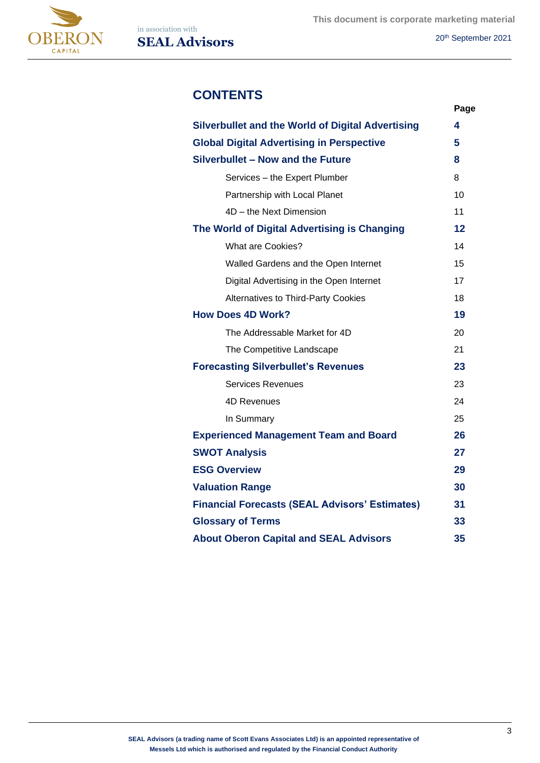



**This document is corporate marketing material SEAL Advisors** 20<sup>th</sup> September 2021

# **CONTENTS**

|                                                          | Page |
|----------------------------------------------------------|------|
| <b>Silverbullet and the World of Digital Advertising</b> | 4    |
| <b>Global Digital Advertising in Perspective</b>         | 5    |
| Silverbullet - Now and the Future                        | 8    |
| Services - the Expert Plumber                            | 8    |
| Partnership with Local Planet                            | 10   |
| 4D - the Next Dimension                                  | 11   |
| The World of Digital Advertising is Changing             | 12   |
| <b>What are Cookies?</b>                                 | 14   |
| Walled Gardens and the Open Internet                     | 15   |
| Digital Advertising in the Open Internet                 | 17   |
| Alternatives to Third-Party Cookies                      | 18   |
| <b>How Does 4D Work?</b>                                 | 19   |
| The Addressable Market for 4D                            | 20   |
| The Competitive Landscape                                | 21   |
| <b>Forecasting Silverbullet's Revenues</b>               | 23   |
| <b>Services Revenues</b>                                 | 23   |
| 4D Revenues                                              | 24   |
| In Summary                                               | 25   |
| <b>Experienced Management Team and Board</b>             | 26   |
| <b>SWOT Analysis</b>                                     | 27   |
| <b>ESG Overview</b>                                      | 29   |
| <b>Valuation Range</b>                                   | 30   |
| <b>Financial Forecasts (SEAL Advisors' Estimates)</b>    | 31   |
| <b>Glossary of Terms</b>                                 | 33   |
| <b>About Oberon Capital and SEAL Advisors</b>            | 35   |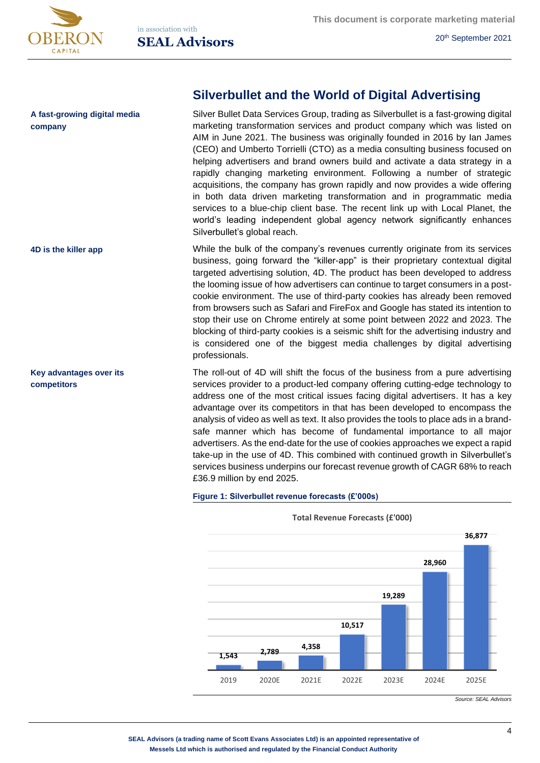

# **A fast-growing digital media company**

**4D is the killer app**

**Key advantages over its competitors**

# **Silverbullet and the World of Digital Advertising**

Silver Bullet Data Services Group, trading as Silverbullet is a fast-growing digital marketing transformation services and product company which was listed on AIM in June 2021. The business was originally founded in 2016 by Ian James (CEO) and Umberto Torrielli (CTO) as a media consulting business focused on helping advertisers and brand owners build and activate a data strategy in a rapidly changing marketing environment. Following a number of strategic acquisitions, the company has grown rapidly and now provides a wide offering in both data driven marketing transformation and in programmatic media services to a blue-chip client base. The recent link up with Local Planet, the world's leading independent global agency network significantly enhances Silverbullet's global reach.

While the bulk of the company's revenues currently originate from its services business, going forward the "killer-app" is their proprietary contextual digital targeted advertising solution, 4D. The product has been developed to address the looming issue of how advertisers can continue to target consumers in a postcookie environment. The use of third-party cookies has already been removed from browsers such as Safari and FireFox and Google has stated its intention to stop their use on Chrome entirely at some point between 2022 and 2023. The blocking of third-party cookies is a seismic shift for the advertising industry and is considered one of the biggest media challenges by digital advertising professionals.

The roll-out of 4D will shift the focus of the business from a pure advertising services provider to a product-led company offering cutting-edge technology to address one of the most critical issues facing digital advertisers. It has a key advantage over its competitors in that has been developed to encompass the analysis of video as well as text. It also provides the tools to place ads in a brandsafe manner which has become of fundamental importance to all major advertisers. As the end-date for the use of cookies approaches we expect a rapid take-up in the use of 4D. This combined with continued growth in Silverbullet's services business underpins our forecast revenue growth of CAGR 68% to reach £36.9 million by end 2025.

#### **Figure 1: Silverbullet revenue forecasts (£'000s)**



**Total Revenue Forecasts (£'000)**

*Source: SEAL Advisors*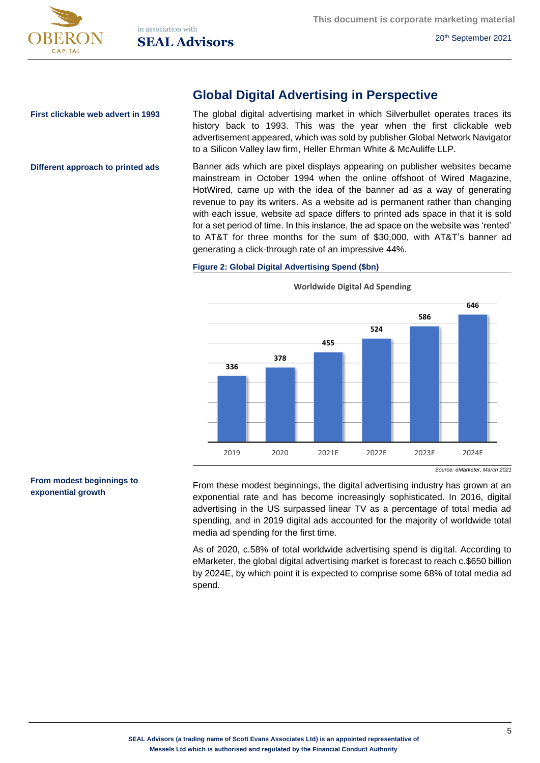

# **Global Digital Advertising in Perspective**

**First clickable web advert in 1993**

**Different approach to printed ads**

The global digital advertising market in which Silverbullet operates traces its history back to 1993. This was the year when the first clickable web advertisement appeared, which was sold by publisher Global Network Navigator to a Silicon Valley law firm, Heller Ehrman White & McAuliffe LLP.

Banner ads which are pixel displays appearing on publisher websites became mainstream in October 1994 when the online offshoot of Wired Magazine, HotWired, came up with the idea of the banner ad as a way of generating revenue to pay its writers. As a website ad is permanent rather than changing with each issue, website ad space differs to printed ads space in that it is sold for a set period of time. In this instance, the ad space on the website was 'rented' to AT&T for three months for the sum of \$30,000, with AT&T's banner ad generating a click-through rate of an impressive 44%.

### **Figure 2: Global Digital Advertising Spend (\$bn)**



**Worldwide Digital Ad Spending**

### **From modest beginnings to exponential growth**

From these modest beginnings, the digital advertising industry has grown at an exponential rate and has become increasingly sophisticated. In 2016, digital advertising in the US surpassed linear TV as a percentage of total media ad spending, and in 2019 digital ads accounted for the majority of worldwide total media ad spending for the first time.

As of 2020, c.58% of total worldwide advertising spend is digital. According to eMarketer, the global digital advertising market is forecast to reach c.\$650 billion by 2024E, by which point it is expected to comprise some 68% of total media ad spend.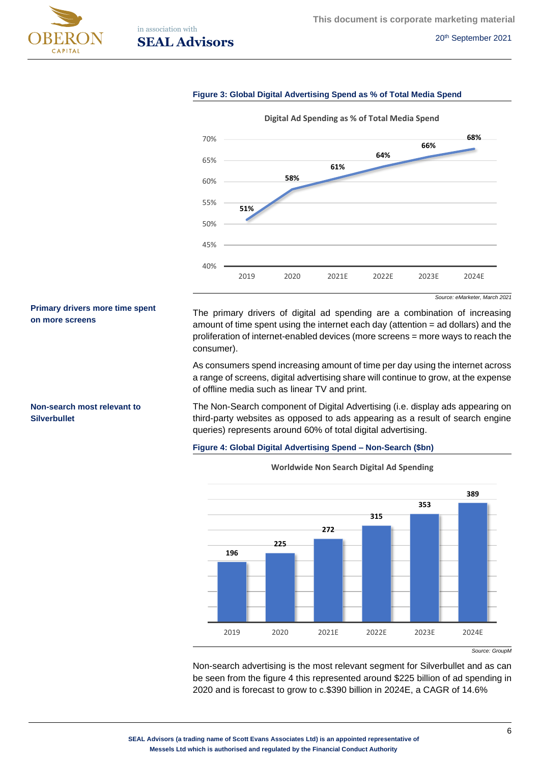

**Primary drivers more time spent** 

**Non-search most relevant to** 

**on more screens**

**Silverbullet**

in association with **SEAL Advisors** 20<sup>th</sup> September 2021

#### **Figure 3: Global Digital Advertising Spend as % of Total Media Spend**



*Source: eMarketer, March 2021*

The primary drivers of digital ad spending are a combination of increasing amount of time spent using the internet each day (attention = ad dollars) and the proliferation of internet-enabled devices (more screens = more ways to reach the consumer).

As consumers spend increasing amount of time per day using the internet across a range of screens, digital advertising share will continue to grow, at the expense of offline media such as linear TV and print.

The Non-Search component of Digital Advertising (i.e. display ads appearing on third-party websites as opposed to ads appearing as a result of search engine queries) represents around 60% of total digital advertising.

#### **Figure 4: Global Digital Advertising Spend – Non-Search (\$bn)**



**Worldwide Non Search Digital Ad Spending**

Non-search advertising is the most relevant segment for Silverbullet and as can be seen from the figure 4 this represented around \$225 billion of ad spending in 2020 and is forecast to grow to c.\$390 billion in 2024E, a CAGR of 14.6%

*Source: GroupM*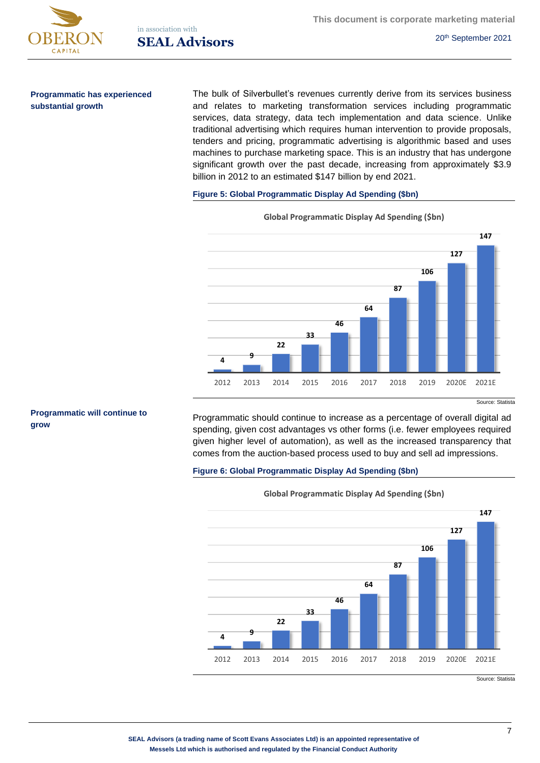

**Programmatic has experienced substantial growth**

The bulk of Silverbullet's revenues currently derive from its services business and relates to marketing transformation services including programmatic services, data strategy, data tech implementation and data science. Unlike traditional advertising which requires human intervention to provide proposals, tenders and pricing, programmatic advertising is algorithmic based and uses machines to purchase marketing space. This is an industry that has undergone significant growth over the past decade, increasing from approximately \$3.9 billion in 2012 to an estimated \$147 billion by end 2021.

#### **Figure 5: Global Programmatic Display Ad Spending (\$bn)**



**Global Programmatic Display Ad Spending (\$bn)** 

#### **Programmatic will continue to grow**

Source: Statista

Programmatic should continue to increase as a percentage of overall digital ad spending, given cost advantages vs other forms (i.e. fewer employees required given higher level of automation), as well as the increased transparency that comes from the auction-based process used to buy and sell ad impressions.

## **Figure 6: Global Programmatic Display Ad Spending (\$bn)**



**Global Programmatic Display Ad Spending (\$bn)** 

Source: Statista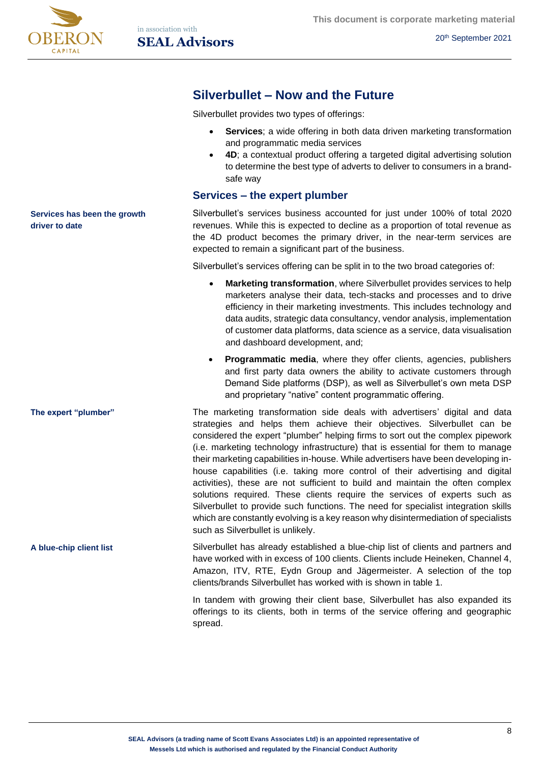

# **Silverbullet – Now and the Future**

Silverbullet provides two types of offerings:

- **Services**; a wide offering in both data driven marketing transformation and programmatic media services
- **4D**; a contextual product offering a targeted digital advertising solution to determine the best type of adverts to deliver to consumers in a brandsafe way

# **Services – the expert plumber**

Silverbullet's services business accounted for just under 100% of total 2020 revenues. While this is expected to decline as a proportion of total revenue as the 4D product becomes the primary driver, in the near-term services are expected to remain a significant part of the business.

Silverbullet's services offering can be split in to the two broad categories of:

- **Marketing transformation**, where Silverbullet provides services to help marketers analyse their data, tech-stacks and processes and to drive efficiency in their marketing investments. This includes technology and data audits, strategic data consultancy, vendor analysis, implementation of customer data platforms, data science as a service, data visualisation and dashboard development, and;
- **Programmatic media, where they offer clients, agencies, publishers** and first party data owners the ability to activate customers through Demand Side platforms (DSP), as well as Silverbullet's own meta DSP and proprietary "native" content programmatic offering.

The marketing transformation side deals with advertisers' digital and data strategies and helps them achieve their objectives. Silverbullet can be considered the expert "plumber" helping firms to sort out the complex pipework (i.e. marketing technology infrastructure) that is essential for them to manage their marketing capabilities in-house. While advertisers have been developing inhouse capabilities (i.e. taking more control of their advertising and digital activities), these are not sufficient to build and maintain the often complex solutions required. These clients require the services of experts such as Silverbullet to provide such functions. The need for specialist integration skills which are constantly evolving is a key reason why disintermediation of specialists such as Silverbullet is unlikely.

Silverbullet has already established a blue-chip list of clients and partners and have worked with in excess of 100 clients. Clients include Heineken, Channel 4, Amazon, ITV, RTE, Eydn Group and Jägermeister. A selection of the top clients/brands Silverbullet has worked with is shown in table 1.

> In tandem with growing their client base, Silverbullet has also expanded its offerings to its clients, both in terms of the service offering and geographic spread.

**The expert "plumber"**

**Services has been the growth** 

**driver to date**

**A blue-chip client list**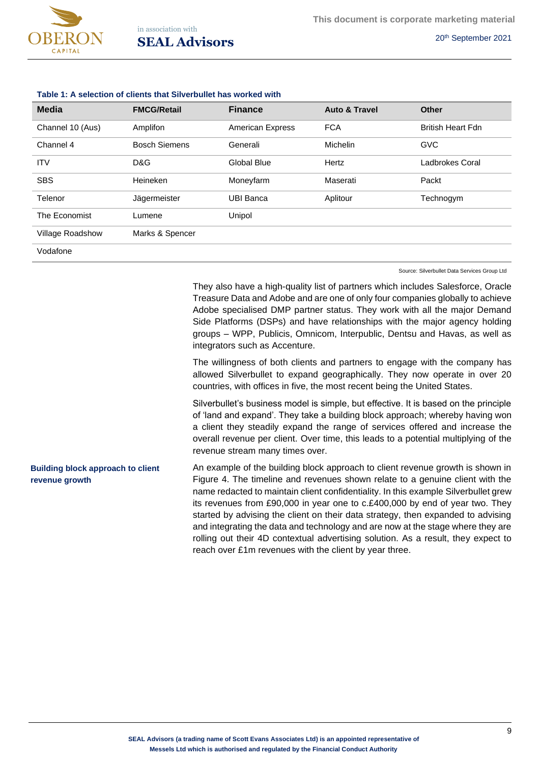

| <b>Media</b>            | <b>FMCG/Retail</b>   | <b>Finance</b>     | <b>Auto &amp; Travel</b> | <b>Other</b>             |
|-------------------------|----------------------|--------------------|--------------------------|--------------------------|
| Channel 10 (Aus)        | Amplifon             | American Express   | <b>FCA</b>               | <b>British Heart Fdn</b> |
| Channel 4               | <b>Bosch Siemens</b> | Generali           | Michelin                 | <b>GVC</b>               |
| <b>ITV</b>              | D&G                  | <b>Global Blue</b> | Hertz                    | <b>Ladbrokes Coral</b>   |
| <b>SBS</b>              | Heineken             | Moneyfarm          | Maserati                 | Packt                    |
| Telenor                 | Jägermeister         | <b>UBI Banca</b>   | Aplitour                 | Technogym                |
| The Economist           | Lumene               | Unipol             |                          |                          |
| <b>Village Roadshow</b> | Marks & Spencer      |                    |                          |                          |
| Vodafone                |                      |                    |                          |                          |

Source: Silverbullet Data Services Group Ltd

They also have a high-quality list of partners which includes Salesforce, Oracle Treasure Data and Adobe and are one of only four companies globally to achieve Adobe specialised DMP partner status. They work with all the major Demand Side Platforms (DSPs) and have relationships with the major agency holding groups – WPP, Publicis, Omnicom, Interpublic, Dentsu and Havas, as well as integrators such as Accenture.

The willingness of both clients and partners to engage with the company has allowed Silverbullet to expand geographically. They now operate in over 20 countries, with offices in five, the most recent being the United States.

Silverbullet's business model is simple, but effective. It is based on the principle of 'land and expand'. They take a building block approach; whereby having won a client they steadily expand the range of services offered and increase the overall revenue per client. Over time, this leads to a potential multiplying of the revenue stream many times over.

An example of the building block approach to client revenue growth is shown in Figure 4. The timeline and revenues shown relate to a genuine client with the name redacted to maintain client confidentiality. In this example Silverbullet grew its revenues from £90,000 in year one to c.£400,000 by end of year two. They started by advising the client on their data strategy, then expanded to advising and integrating the data and technology and are now at the stage where they are rolling out their 4D contextual advertising solution. As a result, they expect to reach over £1m revenues with the client by year three. **Building block approach to client revenue growth**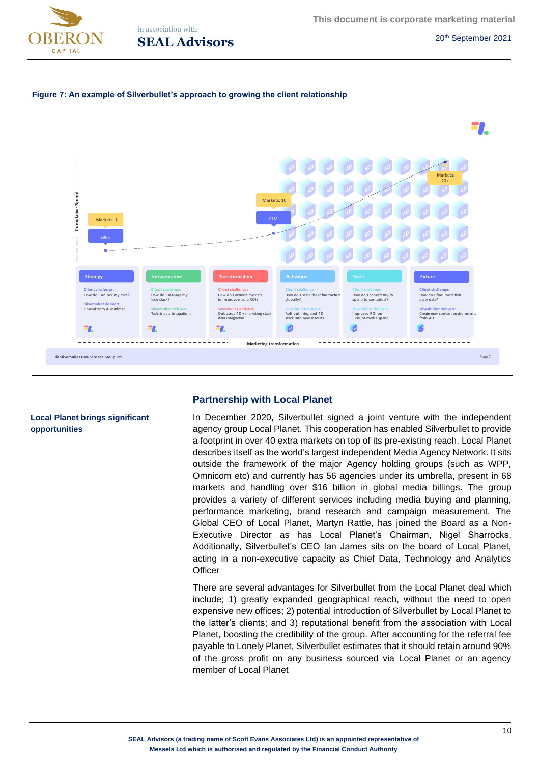



#### **Figure 7: An example of Silverbullet's approach to growing the client relationship**



# **Partnership with Local Planet**

In December 2020, Silverbullet signed a joint venture with the independent agency group Local Planet. This cooperation has enabled Silverbullet to provide a footprint in over 40 extra markets on top of its pre-existing reach. Local Planet describes itself as the world's largest independent Media Agency Network. It sits outside the framework of the major Agency holding groups (such as WPP, Omnicom etc) and currently has 56 agencies under its umbrella, present in 68 markets and handling over \$16 billion in global media billings. The group provides a variety of different services including media buying and planning, performance marketing, brand research and campaign measurement. The Global CEO of Local Planet, Martyn Rattle, has joined the Board as a Non-Executive Director as has Local Planet's Chairman, Nigel Sharrocks. Additionally, Silverbullet's CEO Ian James sits on the board of Local Planet, acting in a non-executive capacity as Chief Data, Technology and Analytics **Officer** 

There are several advantages for Silverbullet from the Local Planet deal which include; 1) greatly expanded geographical reach, without the need to open expensive new offices; 2) potential introduction of Silverbullet by Local Planet to the latter's clients; and 3) reputational benefit from the association with Local Planet, boosting the credibility of the group. After accounting for the referral fee payable to Lonely Planet, Silverbullet estimates that it should retain around 90% of the gross profit on any business sourced via Local Planet or an agency member of Local Planet

## **Local Planet brings significant opportunities**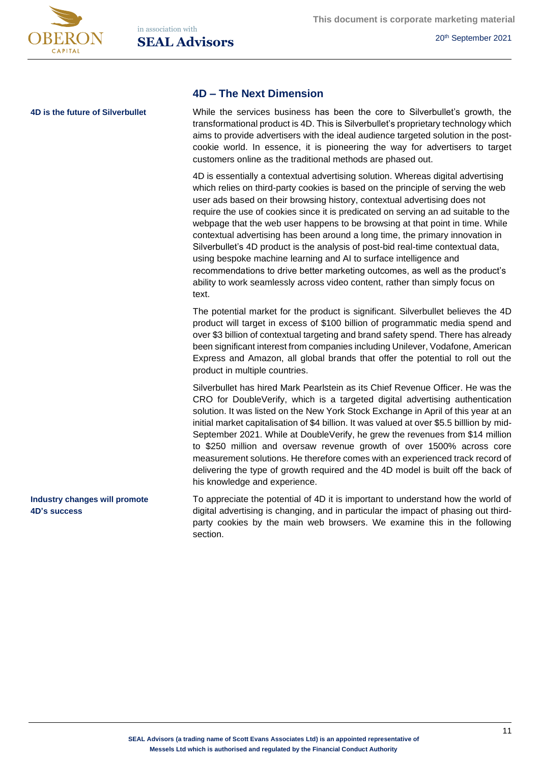

# **4D – The Next Dimension**

**4D is the future of Silverbullet**

**Industry changes will promote** 

**4D's success**

While the services business has been the core to Silverbullet's growth, the transformational product is 4D. This is Silverbullet's proprietary technology which aims to provide advertisers with the ideal audience targeted solution in the postcookie world. In essence, it is pioneering the way for advertisers to target customers online as the traditional methods are phased out.

4D is essentially a contextual advertising solution. Whereas digital advertising which relies on third-party cookies is based on the principle of serving the web user ads based on their browsing history, contextual advertising does not require the use of cookies since it is predicated on serving an ad suitable to the webpage that the web user happens to be browsing at that point in time. While contextual advertising has been around a long time, the primary innovation in Silverbullet's 4D product is the analysis of post-bid real-time contextual data, using bespoke machine learning and AI to surface intelligence and recommendations to drive better marketing outcomes, as well as the product's ability to work seamlessly across video content, rather than simply focus on text.

The potential market for the product is significant. Silverbullet believes the 4D product will target in excess of \$100 billion of programmatic media spend and over \$3 billion of contextual targeting and brand safety spend. There has already been significant interest from companies including Unilever, Vodafone, American Express and Amazon, all global brands that offer the potential to roll out the product in multiple countries.

Silverbullet has hired Mark Pearlstein as its Chief Revenue Officer. He was the CRO for DoubleVerify, which is a targeted digital advertising authentication solution. It was listed on the New York Stock Exchange in April of this year at an initial market capitalisation of \$4 billion. It was valued at over \$5.5 billlion by mid-September 2021. While at DoubleVerify, he grew the revenues from \$14 million to \$250 million and oversaw revenue growth of over 1500% across core measurement solutions. He therefore comes with an experienced track record of delivering the type of growth required and the 4D model is built off the back of his knowledge and experience.

To appreciate the potential of 4D it is important to understand how the world of digital advertising is changing, and in particular the impact of phasing out thirdparty cookies by the main web browsers. We examine this in the following section.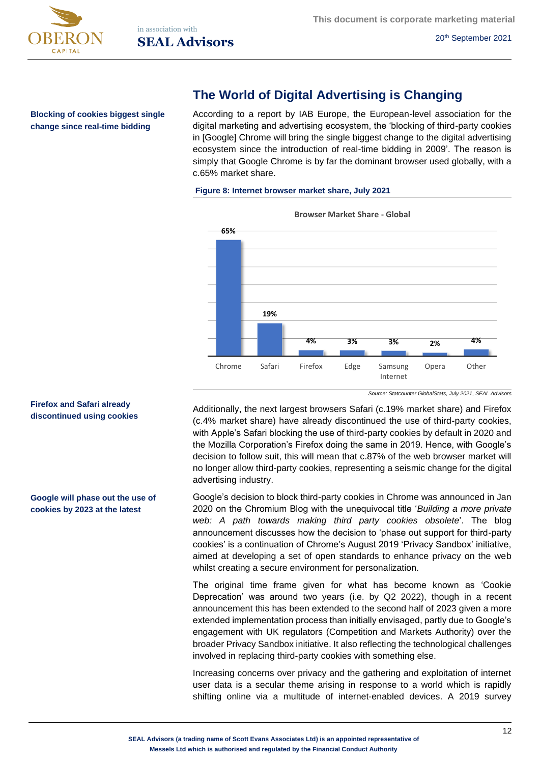



**Blocking of cookies biggest single change since real-time bidding**

# **The World of Digital Advertising is Changing**

According to a report by IAB Europe, the European-level association for the digital marketing and advertising ecosystem, the 'blocking of third-party cookies in [Google] Chrome will bring the single biggest change to the digital advertising ecosystem since the introduction of real-time bidding in 2009'. The reason is simply that Google Chrome is by far the dominant browser used globally, with a c.65% market share.

#### **Figure 8: Internet browser market share, July 2021**



*Source: Statcounter GlobalStats, July 2021, SEAL Advisors*

Additionally, the next largest browsers Safari (c.19% market share) and Firefox (c.4% market share) have already discontinued the use of third-party cookies, with Apple's Safari blocking the use of third-party cookies by default in 2020 and the Mozilla Corporation's Firefox doing the same in 2019. Hence, with Google's decision to follow suit, this will mean that c.87% of the web browser market will no longer allow third-party cookies, representing a seismic change for the digital advertising industry.

Google's decision to block third-party cookies in Chrome was announced in Jan 2020 on the Chromium Blog with the unequivocal title '*Building a more private web: A path towards making third party cookies obsolete*'. The blog announcement discusses how the decision to 'phase out support for third-party cookies' is a continuation of Chrome's August 2019 'Privacy Sandbox' initiative, aimed at developing a set of open standards to enhance privacy on the web whilst creating a secure environment for personalization.

The original time frame given for what has become known as 'Cookie Deprecation' was around two years (i.e. by Q2 2022), though in a recent announcement this has been extended to the second half of 2023 given a more extended implementation process than initially envisaged, partly due to Google's engagement with UK regulators (Competition and Markets Authority) over the broader Privacy Sandbox initiative. It also reflecting the technological challenges involved in replacing third-party cookies with something else.

Increasing concerns over privacy and the gathering and exploitation of internet user data is a secular theme arising in response to a world which is rapidly shifting online via a multitude of internet-enabled devices. A 2019 survey

# **Firefox and Safari already discontinued using cookies**

**Google will phase out the use of cookies by 2023 at the latest**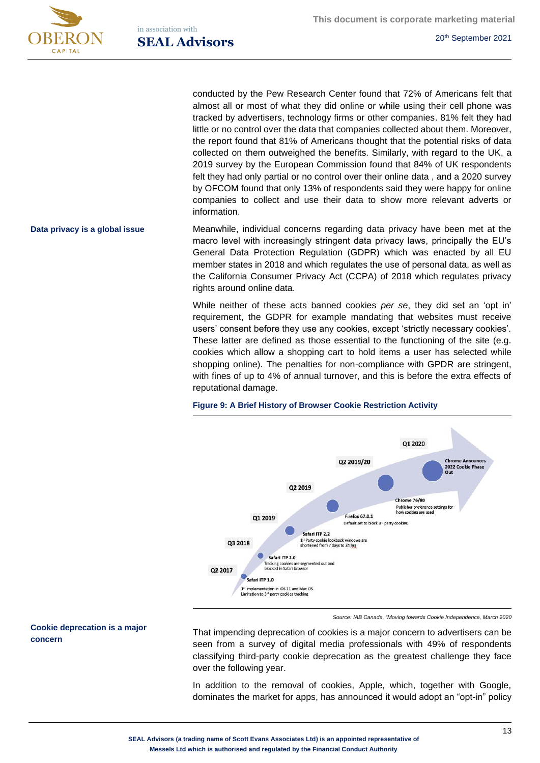

in association with **SEAL Advisors** 20<sup>th</sup> September 2021

conducted by the Pew Research Center found that 72% of Americans felt that almost all or most of what they did online or while using their cell phone was tracked by advertisers, technology firms or other companies. 81% felt they had little or no control over the data that companies collected about them. Moreover, the report found that 81% of Americans thought that the potential risks of data collected on them outweighed the benefits. Similarly, with regard to the UK, a 2019 survey by the European Commission found that 84% of UK respondents felt they had only partial or no control over their online data , and a 2020 survey by OFCOM found that only 13% of respondents said they were happy for online companies to collect and use their data to show more relevant adverts or information.

Meanwhile, individual concerns regarding data privacy have been met at the macro level with increasingly stringent data privacy laws, principally the EU's General Data Protection Regulation (GDPR) which was enacted by all EU member states in 2018 and which regulates the use of personal data, as well as the California Consumer Privacy Act (CCPA) of 2018 which regulates privacy rights around online data. **Data privacy is a global issue**

> While neither of these acts banned cookies *per se*, they did set an 'opt in' requirement, the GDPR for example mandating that websites must receive users' consent before they use any cookies, except 'strictly necessary cookies'. These latter are defined as those essential to the functioning of the site (e.g. cookies which allow a shopping cart to hold items a user has selected while shopping online). The penalties for non-compliance with GPDR are stringent, with fines of up to 4% of annual turnover, and this is before the extra effects of reputational damage.



#### **Figure 9: A Brief History of Browser Cookie Restriction Activity**

*Source: IAB Canada, "Moving towards Cookie Independence, March 2020*

That impending deprecation of cookies is a major concern to advertisers can be seen from a survey of digital media professionals with 49% of respondents classifying third-party cookie deprecation as the greatest challenge they face over the following year.

In addition to the removal of cookies, Apple, which, together with Google, dominates the market for apps, has announced it would adopt an "opt-in" policy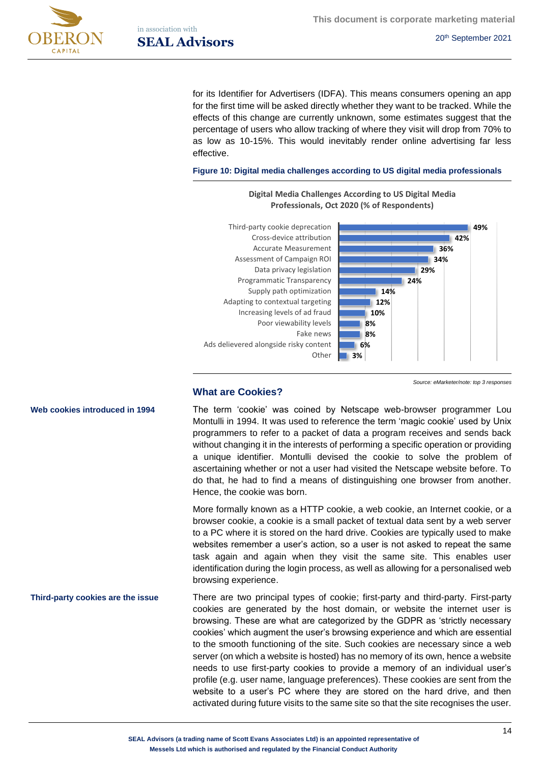

in association with **SEAL Advisors** 20<sup>th</sup> September 2021

for its Identifier for Advertisers (IDFA). This means consumers opening an app for the first time will be asked directly whether they want to be tracked. While the effects of this change are currently unknown, some estimates suggest that the percentage of users who allow tracking of where they visit will drop from 70% to as low as 10-15%. This would inevitably render online advertising far less effective.

#### **Figure 10: Digital media challenges according to US digital media professionals**

**Digital Media Challenges According to US Digital Media** 



*Source: eMarketer/note: top 3 responses*

## **What are Cookies?**

The term 'cookie' was coined by Netscape web-browser programmer Lou Montulli in 1994. It was used to reference the term 'magic cookie' used by Unix programmers to refer to a packet of data a program receives and sends back without changing it in the interests of performing a specific operation or providing a unique identifier. Montulli devised the cookie to solve the problem of ascertaining whether or not a user had visited the Netscape website before. To do that, he had to find a means of distinguishing one browser from another. Hence, the cookie was born.

More formally known as a HTTP cookie, a web cookie, an Internet cookie, or a browser cookie, a cookie is a small packet of textual data sent by a web server to a PC where it is stored on the hard drive. Cookies are typically used to make websites remember a user's action, so a user is not asked to repeat the same task again and again when they visit the same site. This enables user identification during the login process, as well as allowing for a personalised web browsing experience.

There are two principal types of cookie; first-party and third-party. First-party cookies are generated by the host domain, or website the internet user is browsing. These are what are categorized by the GDPR as 'strictly necessary cookies' which augment the user's browsing experience and which are essential to the smooth functioning of the site. Such cookies are necessary since a web server (on which a website is hosted) has no memory of its own, hence a website needs to use first-party cookies to provide a memory of an individual user's profile (e.g. user name, language preferences). These cookies are sent from the website to a user's PC where they are stored on the hard drive, and then activated during future visits to the same site so that the site recognises the user. **Third-party cookies are the issue**

**Web cookies introduced in 1994**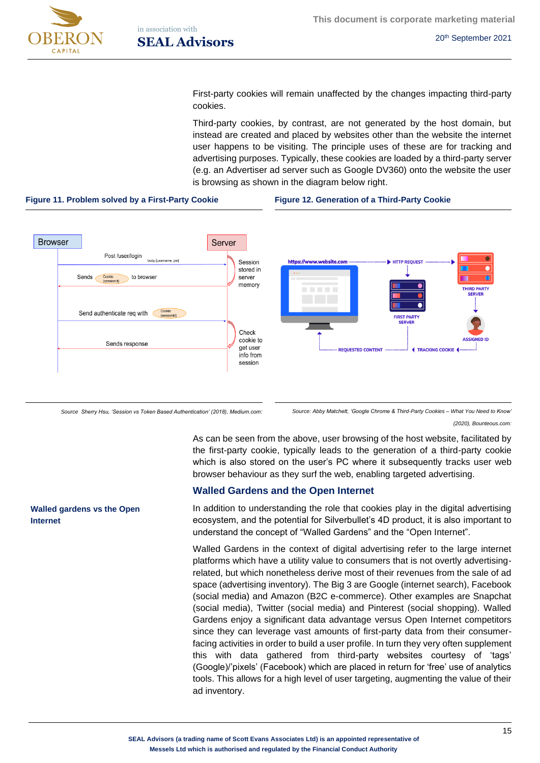

First-party cookies will remain unaffected by the changes impacting third-party cookies.

Third-party cookies, by contrast, are not generated by the host domain, but instead are created and placed by websites other than the website the internet user happens to be visiting. The principle uses of these are for tracking and advertising purposes. Typically, these cookies are loaded by a third-party server (e.g. an Advertiser ad server such as Google DV360) onto the website the user is browsing as shown in the diagram below right.

#### **Figure 11. Problem solved by a First-Party Cookie Figure 12. Generation of a Third-Party Cookie**



*Source Sherry Hsu, 'Session vs Token Based Authentication' (2018), Medium.com: Source: Abby Matchett, 'Google Chrome & Third-Party Cookies – What You Need to Know'* 

*(2020), Bounteous.com:* 

As can be seen from the above, user browsing of the host website, facilitated by the first-party cookie, typically leads to the generation of a third-party cookie which is also stored on the user's PC where it subsequently tracks user web browser behaviour as they surf the web, enabling targeted advertising.

## **Walled Gardens and the Open Internet**

In addition to understanding the role that cookies play in the digital advertising ecosystem, and the potential for Silverbullet's 4D product, it is also important to understand the concept of "Walled Gardens" and the "Open Internet".

Walled Gardens in the context of digital advertising refer to the large internet platforms which have a utility value to consumers that is not overtly advertisingrelated, but which nonetheless derive most of their revenues from the sale of ad space (advertising inventory). The Big 3 are Google (internet search), Facebook (social media) and Amazon (B2C e-commerce). Other examples are Snapchat (social media), Twitter (social media) and Pinterest (social shopping). Walled Gardens enjoy a significant data advantage versus Open Internet competitors since they can leverage vast amounts of first-party data from their consumerfacing activities in order to build a user profile. In turn they very often supplement this with data gathered from third-party websites courtesy of 'tags' (Google)/'pixels' (Facebook) which are placed in return for 'free' use of analytics tools. This allows for a high level of user targeting, augmenting the value of their ad inventory.

### **Walled gardens vs the Open Internet**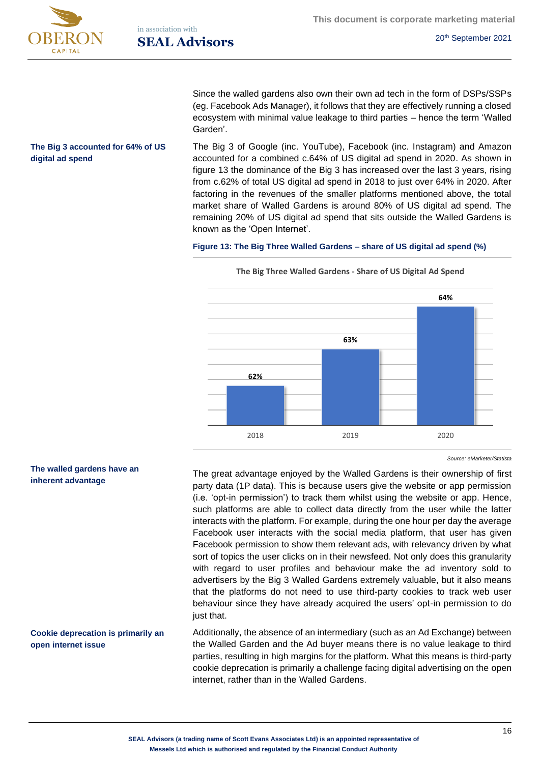**digital ad spend**

**This document is corporate marketing material**

Since the walled gardens also own their own ad tech in the form of DSPs/SSPs (eg. Facebook Ads Manager), it follows that they are effectively running a closed ecosystem with minimal value leakage to third parties – hence the term 'Walled Garden'.

The Big 3 of Google (inc. YouTube), Facebook (inc. Instagram) and Amazon accounted for a combined c.64% of US digital ad spend in 2020. As shown in figure 13 the dominance of the Big 3 has increased over the last 3 years, rising from c.62% of total US digital ad spend in 2018 to just over 64% in 2020. After factoring in the revenues of the smaller platforms mentioned above, the total market share of Walled Gardens is around 80% of US digital ad spend. The remaining 20% of US digital ad spend that sits outside the Walled Gardens is known as the 'Open Internet'. **The Big 3 accounted for 64% of US** 

### **Figure 13: The Big Three Walled Gardens – share of US digital ad spend (%)**



**The Big Three Walled Gardens - Share of US Digital Ad Spend** 

The great advantage enjoyed by the Walled Gardens is their ownership of first party data (1P data). This is because users give the website or app permission (i.e. 'opt-in permission') to track them whilst using the website or app. Hence, such platforms are able to collect data directly from the user while the latter interacts with the platform. For example, during the one hour per day the average Facebook user interacts with the social media platform, that user has given Facebook permission to show them relevant ads, with relevancy driven by what sort of topics the user clicks on in their newsfeed. Not only does this granularity with regard to user profiles and behaviour make the ad inventory sold to advertisers by the Big 3 Walled Gardens extremely valuable, but it also means that the platforms do not need to use third-party cookies to track web user behaviour since they have already acquired the users' opt-in permission to do just that.

Additionally, the absence of an intermediary (such as an Ad Exchange) between the Walled Garden and the Ad buyer means there is no value leakage to third parties, resulting in high margins for the platform. What this means is third-party cookie deprecation is primarily a challenge facing digital advertising on the open internet, rather than in the Walled Gardens.

### **The walled gardens have an inherent advantage**

# **Cookie deprecation is primarily an open internet issue**

*Source: eMarketer/Statista*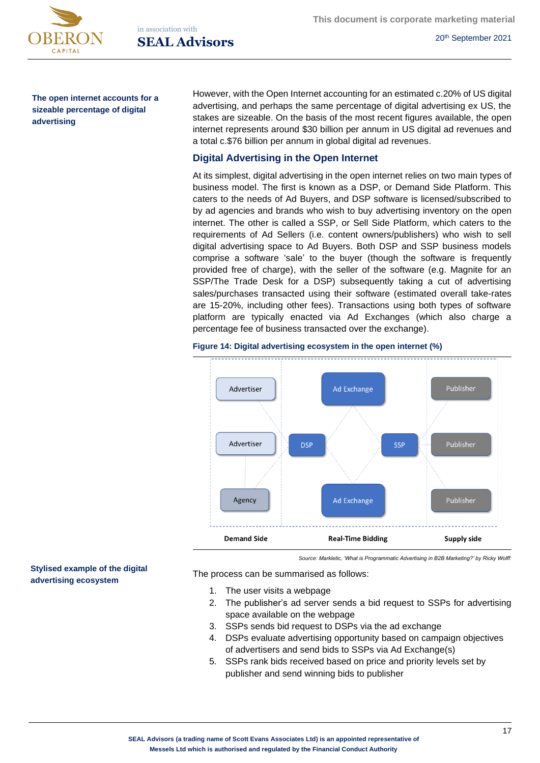

**This document is corporate marketing material**

**The open internet accounts for a sizeable percentage of digital advertising**

However, with the Open Internet accounting for an estimated c.20% of US digital advertising, and perhaps the same percentage of digital advertising ex US, the stakes are sizeable. On the basis of the most recent figures available, the open internet represents around \$30 billion per annum in US digital ad revenues and a total c.\$76 billion per annum in global digital ad revenues.

# **Digital Advertising in the Open Internet**

At its simplest, digital advertising in the open internet relies on two main types of business model. The first is known as a DSP, or Demand Side Platform. This caters to the needs of Ad Buyers, and DSP software is licensed/subscribed to by ad agencies and brands who wish to buy advertising inventory on the open internet. The other is called a SSP, or Sell Side Platform, which caters to the requirements of Ad Sellers (i.e. content owners/publishers) who wish to sell digital advertising space to Ad Buyers. Both DSP and SSP business models comprise a software 'sale' to the buyer (though the software is frequently provided free of charge), with the seller of the software (e.g. Magnite for an SSP/The Trade Desk for a DSP) subsequently taking a cut of advertising sales/purchases transacted using their software (estimated overall take-rates are 15-20%, including other fees). Transactions using both types of software platform are typically enacted via Ad Exchanges (which also charge a percentage fee of business transacted over the exchange).



#### **Figure 14: Digital advertising ecosystem in the open internet (%)**

*Source: Markletic, 'What is Programmatic Advertising in B2B Marketing?' by Ricky Wolff:* 

The process can be summarised as follows:

- 1. The user visits a webpage
- 2. The publisher's ad server sends a bid request to SSPs for advertising space available on the webpage
- 3. SSPs sends bid request to DSPs via the ad exchange
- 4. DSPs evaluate advertising opportunity based on campaign objectives of advertisers and send bids to SSPs via Ad Exchange(s)
- 5. SSPs rank bids received based on price and priority levels set by publisher and send winning bids to publisher

#### **Stylised example of the digital advertising ecosystem**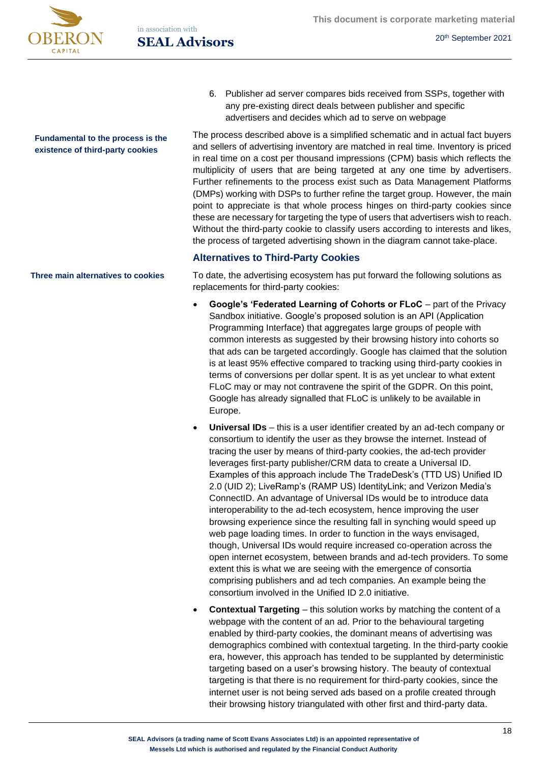

in association with **SEAL Advisors** 20<sup>th</sup> September 2021

> 6. Publisher ad server compares bids received from SSPs, together with any pre-existing direct deals between publisher and specific advertisers and decides which ad to serve on webpage

The process described above is a simplified schematic and in actual fact buyers and sellers of advertising inventory are matched in real time. Inventory is priced in real time on a cost per thousand impressions (CPM) basis which reflects the multiplicity of users that are being targeted at any one time by advertisers. Further refinements to the process exist such as Data Management Platforms (DMPs) working with DSPs to further refine the target group. However, the main point to appreciate is that whole process hinges on third-party cookies since these are necessary for targeting the type of users that advertisers wish to reach. Without the third-party cookie to classify users according to interests and likes, the process of targeted advertising shown in the diagram cannot take-place.

# **Alternatives to Third-Party Cookies**

To date, the advertising ecosystem has put forward the following solutions as replacements for third-party cookies:

- **Google's 'Federated Learning of Cohorts or FLoC** part of the Privacy Sandbox initiative. Google's proposed solution is an API (Application Programming Interface) that aggregates large groups of people with common interests as suggested by their browsing history into cohorts so that ads can be targeted accordingly. Google has claimed that the solution is at least 95% effective compared to tracking using third-party cookies in terms of conversions per dollar spent. It is as yet unclear to what extent FLoC may or may not contravene the spirit of the GDPR. On this point, Google has already signalled that FLoC is unlikely to be available in Europe.
- **Universal IDs** this is a user identifier created by an ad-tech company or consortium to identify the user as they browse the internet. Instead of tracing the user by means of third-party cookies, the ad-tech provider leverages first-party publisher/CRM data to create a Universal ID. Examples of this approach include The TradeDesk's (TTD US) Unified ID 2.0 (UID 2); LiveRamp's (RAMP US) IdentityLink; and Verizon Media's ConnectID. An advantage of Universal IDs would be to introduce data interoperability to the ad-tech ecosystem, hence improving the user browsing experience since the resulting fall in synching would speed up web page loading times. In order to function in the ways envisaged, though, Universal IDs would require increased co-operation across the open internet ecosystem, between brands and ad-tech providers. To some extent this is what we are seeing with the emergence of consortia comprising publishers and ad tech companies. An example being the consortium involved in the Unified ID 2.0 initiative.
- **Contextual Targeting** this solution works by matching the content of a webpage with the content of an ad. Prior to the behavioural targeting enabled by third-party cookies, the dominant means of advertising was demographics combined with contextual targeting. In the third-party cookie era, however, this approach has tended to be supplanted by deterministic targeting based on a user's browsing history. The beauty of contextual targeting is that there is no requirement for third-party cookies, since the internet user is not being served ads based on a profile created through their browsing history triangulated with other first and third-party data.

**Fundamental to the process is the existence of third-party cookies**

**Three main alternatives to cookies**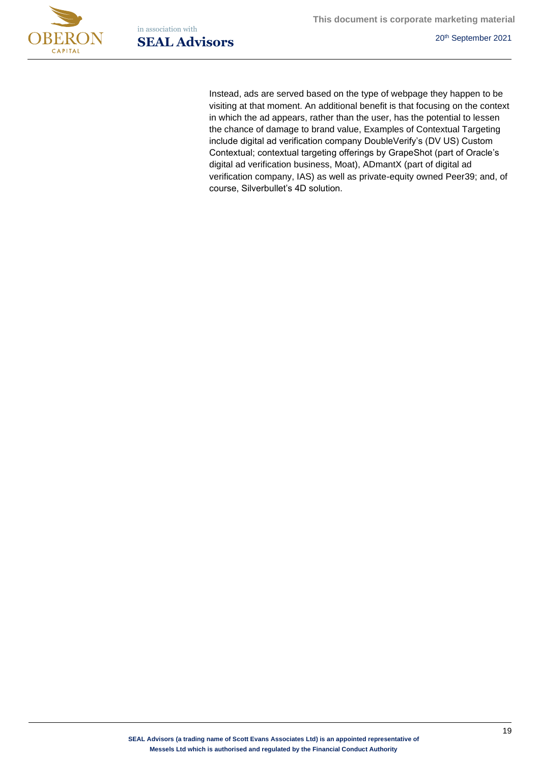



Instead, ads are served based on the type of webpage they happen to be visiting at that moment. An additional benefit is that focusing on the context in which the ad appears, rather than the user, has the potential to lessen the chance of damage to brand value, Examples of Contextual Targeting include digital ad verification company DoubleVerify's (DV US) Custom Contextual; contextual targeting offerings by GrapeShot (part of Oracle's digital ad verification business, Moat), ADmantX (part of digital ad verification company, IAS) as well as private-equity owned Peer39; and, of course, Silverbullet's 4D solution.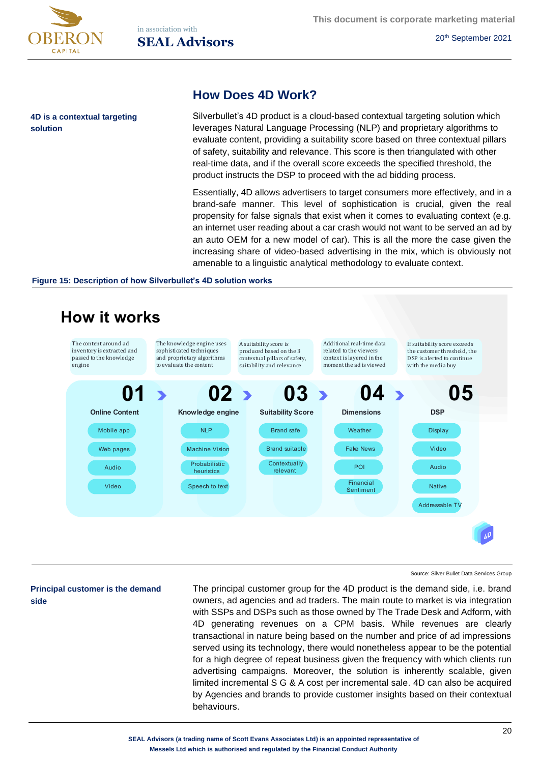

**solution** 

**4D is a contextual targeting** 

# **How Does 4D Work?**

Silverbullet's 4D product is a cloud-based contextual targeting solution which leverages Natural Language Processing (NLP) and proprietary algorithms to evaluate content, providing a suitability score based on three contextual pillars of safety, suitability and relevance. This score is then triangulated with other real-time data, and if the overall score exceeds the specified threshold, the product instructs the DSP to proceed with the ad bidding process.

Essentially, 4D allows advertisers to target consumers more effectively, and in a brand-safe manner. This level of sophistication is crucial, given the real propensity for false signals that exist when it comes to evaluating context (e.g. an internet user reading about a car crash would not want to be served an ad by an auto OEM for a new model of car). This is all the more the case given the increasing share of video-based advertising in the mix, which is obviously not amenable to a linguistic analytical methodology to evaluate context.

#### **Figure 15: Description of how Silverbullet's 4D solution works**



#### Source: Silver Bullet Data Services Group

### **Principal customer is the demand side**

The principal customer group for the 4D product is the demand side, i.e. brand owners, ad agencies and ad traders. The main route to market is via integration with SSPs and DSPs such as those owned by The Trade Desk and Adform, with 4D generating revenues on a CPM basis. While revenues are clearly transactional in nature being based on the number and price of ad impressions served using its technology, there would nonetheless appear to be the potential for a high degree of repeat business given the frequency with which clients run advertising campaigns. Moreover, the solution is inherently scalable, given limited incremental S G & A cost per incremental sale. 4D can also be acquired by Agencies and brands to provide customer insights based on their contextual behaviours.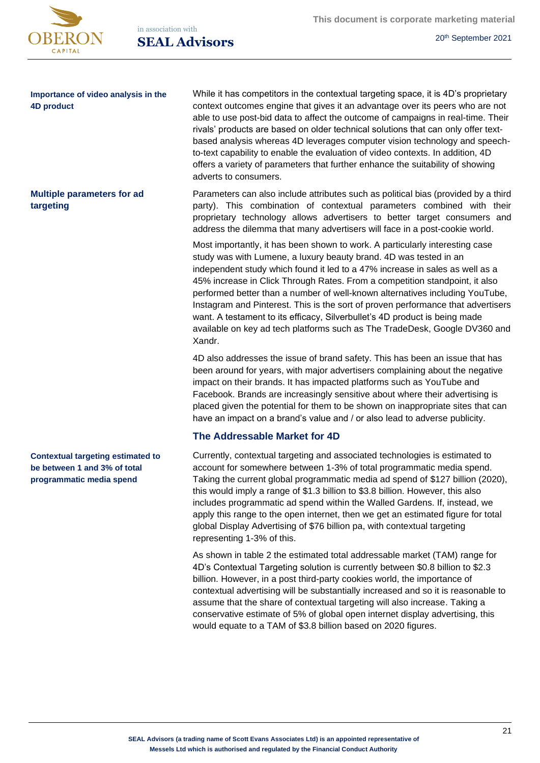

in association with **SEAL Advisors** 20<sup>th</sup> September 2021

> While it has competitors in the contextual targeting space, it is 4D's proprietary context outcomes engine that gives it an advantage over its peers who are not able to use post-bid data to affect the outcome of campaigns in real-time. Their rivals' products are based on older technical solutions that can only offer textbased analysis whereas 4D leverages computer vision technology and speechto-text capability to enable the evaluation of video contexts. In addition, 4D offers a variety of parameters that further enhance the suitability of showing adverts to consumers.

> Parameters can also include attributes such as political bias (provided by a third party). This combination of contextual parameters combined with their proprietary technology allows advertisers to better target consumers and address the dilemma that many advertisers will face in a post-cookie world.

> Most importantly, it has been shown to work. A particularly interesting case study was with Lumene, a luxury beauty brand. 4D was tested in an independent study which found it led to a 47% increase in sales as well as a 45% increase in Click Through Rates. From a competition standpoint, it also performed better than a number of well-known alternatives including YouTube, Instagram and Pinterest. This is the sort of proven performance that advertisers want. A testament to its efficacy, Silverbullet's 4D product is being made available on key ad tech platforms such as The TradeDesk, Google DV360 and Xandr.

4D also addresses the issue of brand safety. This has been an issue that has been around for years, with major advertisers complaining about the negative impact on their brands. It has impacted platforms such as YouTube and Facebook. Brands are increasingly sensitive about where their advertising is placed given the potential for them to be shown on inappropriate sites that can have an impact on a brand's value and / or also lead to adverse publicity.

# **The Addressable Market for 4D**

Currently, contextual targeting and associated technologies is estimated to account for somewhere between 1-3% of total programmatic media spend. Taking the current global programmatic media ad spend of \$127 billion (2020), this would imply a range of \$1.3 billion to \$3.8 billion. However, this also includes programmatic ad spend within the Walled Gardens. If, instead, we apply this range to the open internet, then we get an estimated figure for total global Display Advertising of \$76 billion pa, with contextual targeting representing 1-3% of this.

As shown in table 2 the estimated total addressable market (TAM) range for 4D's Contextual Targeting solution is currently between \$0.8 billion to \$2.3 billion. However, in a post third-party cookies world, the importance of contextual advertising will be substantially increased and so it is reasonable to assume that the share of contextual targeting will also increase. Taking a conservative estimate of 5% of global open internet display advertising, this would equate to a TAM of \$3.8 billion based on 2020 figures.

## **Importance of video analysis in the 4D product**

**Multiple parameters for ad targeting**

**Contextual targeting estimated to be between 1 and 3% of total programmatic media spend**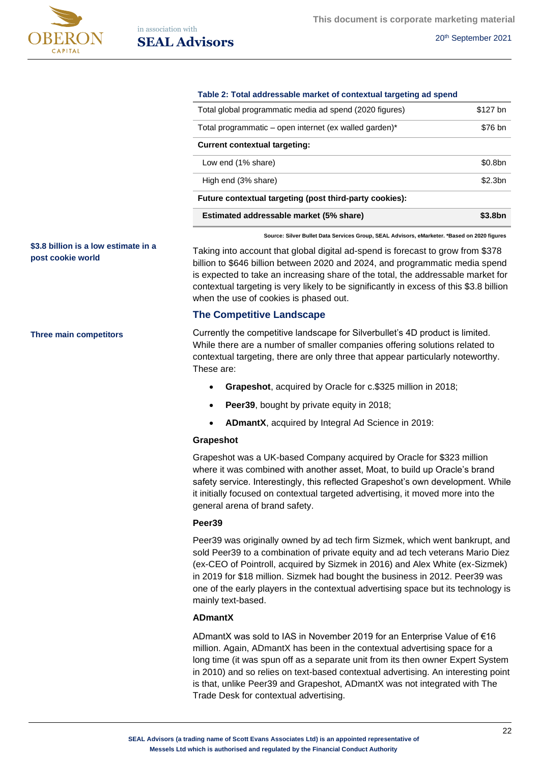

| Table 2: Total addressable market of contextual targeting ad spend |                     |  |  |  |  |
|--------------------------------------------------------------------|---------------------|--|--|--|--|
| Total global programmatic media ad spend (2020 figures)            | \$127 bn            |  |  |  |  |
| Total programmatic – open internet (ex walled garden)*             | \$76 bn             |  |  |  |  |
| <b>Current contextual targeting:</b>                               |                     |  |  |  |  |
| Low end (1% share)                                                 | \$0.8bn             |  |  |  |  |
| High end (3% share)                                                | \$2.3 <sub>bn</sub> |  |  |  |  |
| Future contextual targeting (post third-party cookies):            |                     |  |  |  |  |
| Estimated addressable market (5% share)                            | \$3.8bn             |  |  |  |  |

**Source: Silver Bullet Data Services Group, SEAL Advisors, eMarketer. \*Based on 2020 figures**

Taking into account that global digital ad-spend is forecast to grow from \$378 billion to \$646 billion between 2020 and 2024, and programmatic media spend is expected to take an increasing share of the total, the addressable market for contextual targeting is very likely to be significantly in excess of this \$3.8 billion when the use of cookies is phased out.

#### **The Competitive Landscape**

Currently the competitive landscape for Silverbullet's 4D product is limited. While there are a number of smaller companies offering solutions related to contextual targeting, there are only three that appear particularly noteworthy. These are:

- **Grapeshot**, acquired by Oracle for c.\$325 million in 2018;
- **Peer39**, bought by private equity in 2018;
- **ADmantX**, acquired by Integral Ad Science in 2019:

#### **Grapeshot**

Grapeshot was a UK-based Company acquired by Oracle for \$323 million where it was combined with another asset, Moat, to build up Oracle's brand safety service. Interestingly, this reflected Grapeshot's own development. While it initially focused on contextual targeted advertising, it moved more into the general arena of brand safety.

#### **Peer39**

Peer39 was originally owned by ad tech firm Sizmek, which went bankrupt, and sold Peer39 to a combination of private equity and ad tech veterans Mario Diez (ex-CEO of Pointroll, acquired by Sizmek in 2016) and Alex White (ex-Sizmek) in 2019 for \$18 million. Sizmek had bought the business in 2012. Peer39 was one of the early players in the contextual advertising space but its technology is mainly text-based.

## **ADmantX**

ADmantX was sold to IAS in November 2019 for an Enterprise Value of €16 million. Again, ADmantX has been in the contextual advertising space for a long time (it was spun off as a separate unit from its then owner Expert System in 2010) and so relies on text-based contextual advertising. An interesting point is that, unlike Peer39 and Grapeshot, ADmantX was not integrated with The Trade Desk for contextual advertising.

#### **\$3.8 billion is a low estimate in a post cookie world**

**Three main competitors**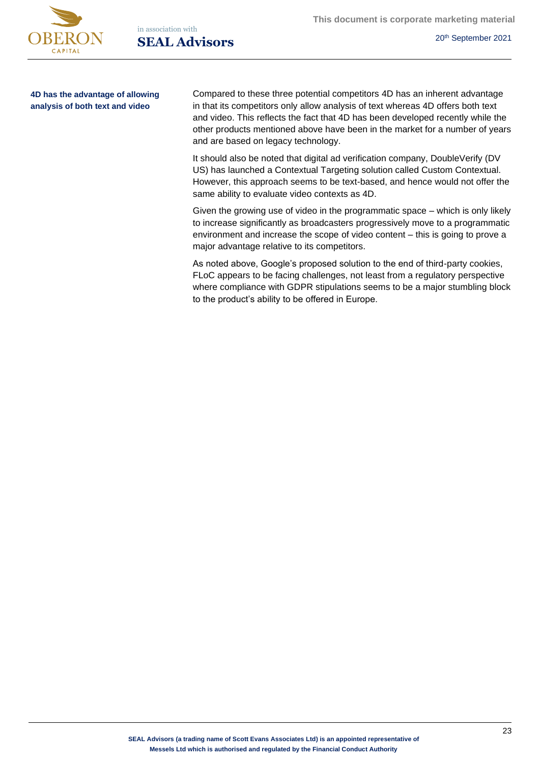

in association with **SEAL Advisors** 20<sup>th</sup> September 2021

**4D has the advantage of allowing analysis of both text and video**

Compared to these three potential competitors 4D has an inherent advantage in that its competitors only allow analysis of text whereas 4D offers both text and video. This reflects the fact that 4D has been developed recently while the other products mentioned above have been in the market for a number of years and are based on legacy technology.

It should also be noted that digital ad verification company, DoubleVerify (DV US) has launched a Contextual Targeting solution called Custom Contextual. However, this approach seems to be text-based, and hence would not offer the same ability to evaluate video contexts as 4D.

Given the growing use of video in the programmatic space – which is only likely to increase significantly as broadcasters progressively move to a programmatic environment and increase the scope of video content – this is going to prove a major advantage relative to its competitors.

As noted above, Google's proposed solution to the end of third-party cookies, FLoC appears to be facing challenges, not least from a regulatory perspective where compliance with GDPR stipulations seems to be a major stumbling block to the product's ability to be offered in Europe.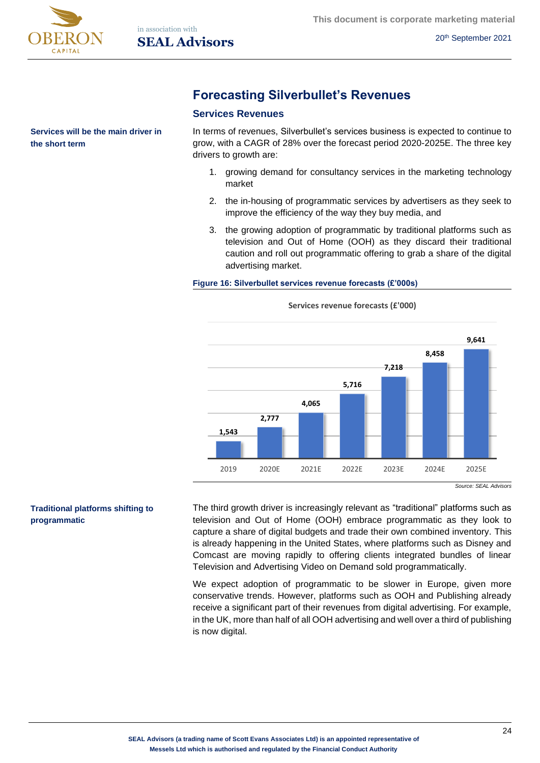

**the short term**

**Services will be the main driver in** 

**Forecasting Silverbullet's Revenues**

# **Services Revenues**

In terms of revenues, Silverbullet's services business is expected to continue to grow, with a CAGR of 28% over the forecast period 2020-2025E. The three key drivers to growth are:

- 1. growing demand for consultancy services in the marketing technology market
- 2. the in-housing of programmatic services by advertisers as they seek to improve the efficiency of the way they buy media, and
- 3. the growing adoption of programmatic by traditional platforms such as television and Out of Home (OOH) as they discard their traditional caution and roll out programmatic offering to grab a share of the digital advertising market.

### **Figure 16: Silverbullet services revenue forecasts (£'000s)**



**Services revenue forecasts (£'000)**

## **Traditional platforms shifting to programmatic**

The third growth driver is increasingly relevant as "traditional" platforms such as television and Out of Home (OOH) embrace programmatic as they look to capture a share of digital budgets and trade their own combined inventory. This is already happening in the United States, where platforms such as Disney and Comcast are moving rapidly to offering clients integrated bundles of linear Television and Advertising Video on Demand sold programmatically.

We expect adoption of programmatic to be slower in Europe, given more conservative trends. However, platforms such as OOH and Publishing already receive a significant part of their revenues from digital advertising. For example, in the UK, more than half of all OOH advertising and well over a third of publishing is now digital.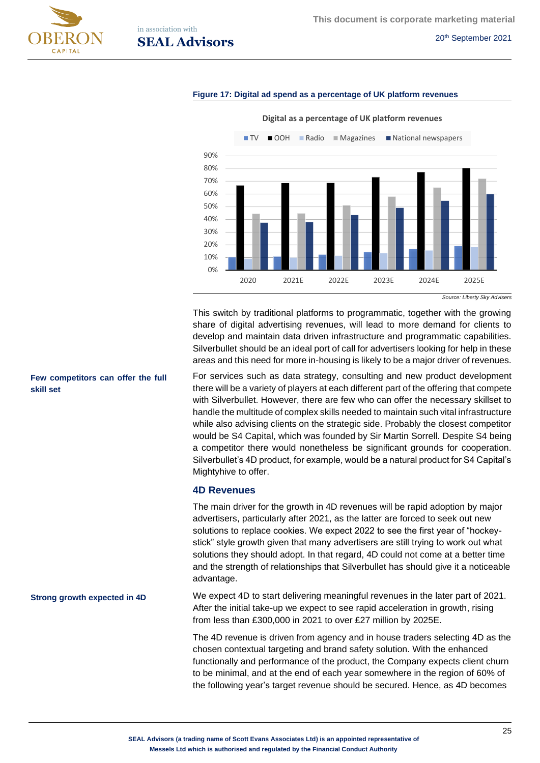



# in association with **SEAL Advisors** 20<sup>th</sup> September 2021

#### **Figure 17: Digital ad spend as a percentage of UK platform revenues**



**Digital as a percentage of UK platform revenues** 

This switch by traditional platforms to programmatic, together with the growing share of digital advertising revenues, will lead to more demand for clients to develop and maintain data driven infrastructure and programmatic capabilities. Silverbullet should be an ideal port of call for advertisers looking for help in these areas and this need for more in-housing is likely to be a major driver of revenues.

For services such as data strategy, consulting and new product development there will be a variety of players at each different part of the offering that compete with Silverbullet. However, there are few who can offer the necessary skillset to handle the multitude of complex skills needed to maintain such vital infrastructure while also advising clients on the strategic side. Probably the closest competitor would be S4 Capital, which was founded by Sir Martin Sorrell. Despite S4 being a competitor there would nonetheless be significant grounds for cooperation. Silverbullet's 4D product, for example, would be a natural product for S4 Capital's Mightyhive to offer.

#### **4D Revenues**

The main driver for the growth in 4D revenues will be rapid adoption by major advertisers, particularly after 2021, as the latter are forced to seek out new solutions to replace cookies. We expect 2022 to see the first year of "hockeystick" style growth given that many advertisers are still trying to work out what solutions they should adopt. In that regard, 4D could not come at a better time and the strength of relationships that Silverbullet has should give it a noticeable advantage.

We expect 4D to start delivering meaningful revenues in the later part of 2021. After the initial take-up we expect to see rapid acceleration in growth, rising from less than £300,000 in 2021 to over £27 million by 2025E. **Strong growth expected in 4D**

> The 4D revenue is driven from agency and in house traders selecting 4D as the chosen contextual targeting and brand safety solution. With the enhanced functionally and performance of the product, the Company expects client churn to be minimal, and at the end of each year somewhere in the region of 60% of the following year's target revenue should be secured. Hence, as 4D becomes

### **Few competitors can offer the full skill set**

*Source: Liberty Sky Advisers*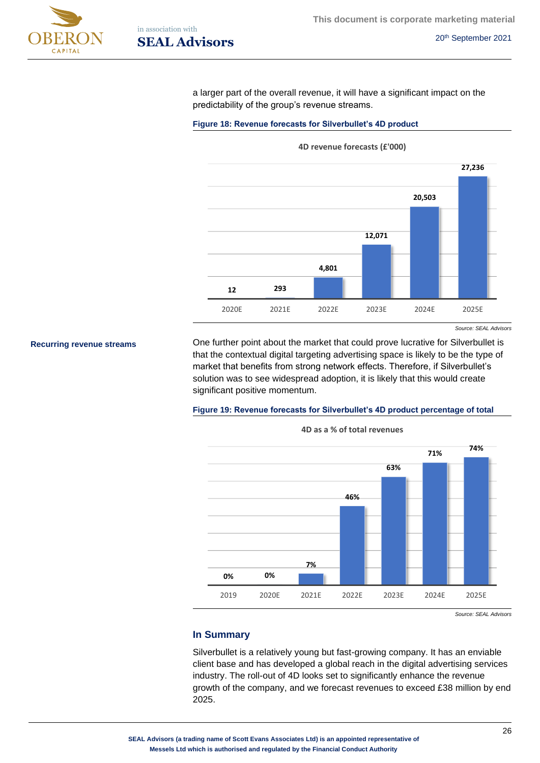



a larger part of the overall revenue, it will have a significant impact on the predictability of the group's revenue streams.

#### Figure 18: Revenue forecasts for Silverbullet's 4D product



*Source: SEAL Advisors*

**Recurring revenue streams**

One further point about the market that could prove lucrative for Silverbullet is that the contextual digital targeting advertising space is likely to be the type of market that benefits from strong network effects. Therefore, if Silverbullet's solution was to see widespread adoption, it is likely that this would create significant positive momentum.

#### **Figure 19: Revenue forecasts for Silverbullet's 4D product percentage of total**



**4D as a % of total revenues**

*Source: SEAL Advisors*

## **In Summary**

Silverbullet is a relatively young but fast-growing company. It has an enviable client base and has developed a global reach in the digital advertising services industry. The roll-out of 4D looks set to significantly enhance the revenue growth of the company, and we forecast revenues to exceed £38 million by end 2025.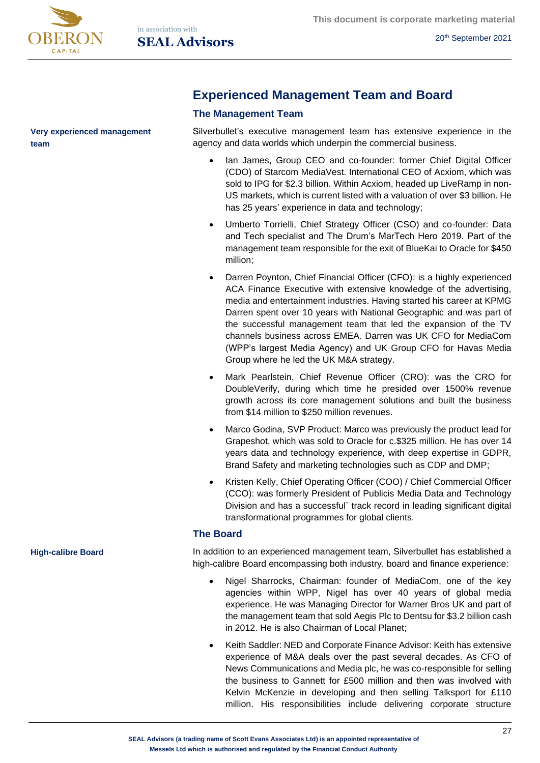

**Very experienced management team**

# **Experienced Management Team and Board**

# **The Management Team**

Silverbullet's executive management team has extensive experience in the agency and data worlds which underpin the commercial business.

- Ian James, Group CEO and co-founder: former Chief Digital Officer (CDO) of Starcom MediaVest. International CEO of Acxiom, which was sold to IPG for \$2.3 billion. Within Acxiom, headed up LiveRamp in non-US markets, which is current listed with a valuation of over \$3 billion. He has 25 years' experience in data and technology;
- Umberto Torrielli, Chief Strategy Officer (CSO) and co-founder: Data and Tech specialist and The Drum's MarTech Hero 2019. Part of the management team responsible for the exit of BlueKai to Oracle for \$450 million;
- Darren Poynton, Chief Financial Officer (CFO): is a highly experienced ACA Finance Executive with extensive knowledge of the advertising, media and entertainment industries. Having started his career at KPMG Darren spent over 10 years with National Geographic and was part of the successful management team that led the expansion of the TV channels business across EMEA. Darren was UK CFO for MediaCom (WPP's largest Media Agency) and UK Group CFO for Havas Media Group where he led the UK M&A strategy.
- Mark Pearlstein, Chief Revenue Officer (CRO): was the CRO for DoubleVerify, during which time he presided over 1500% revenue growth across its core management solutions and built the business from \$14 million to \$250 million revenues.
- Marco Godina, SVP Product: Marco was previously the product lead for Grapeshot, which was sold to Oracle for c.\$325 million. He has over 14 years data and technology experience, with deep expertise in GDPR, Brand Safety and marketing technologies such as CDP and DMP;
- Kristen Kelly, Chief Operating Officer (COO) / Chief Commercial Officer (CCO): was formerly President of Publicis Media Data and Technology Division and has a successful` track record in leading significant digital transformational programmes for global clients.

## **The Board**

In addition to an experienced management team, Silverbullet has established a high-calibre Board encompassing both industry, board and finance experience:

- Nigel Sharrocks, Chairman: founder of MediaCom, one of the key agencies within WPP, Nigel has over 40 years of global media experience. He was Managing Director for Warner Bros UK and part of the management team that sold Aegis Plc to Dentsu for \$3.2 billion cash in 2012. He is also Chairman of Local Planet;
- Keith Saddler: NED and Corporate Finance Advisor: Keith has extensive experience of M&A deals over the past several decades. As CFO of News Communications and Media plc, he was co-responsible for selling the business to Gannett for £500 million and then was involved with Kelvin McKenzie in developing and then selling Talksport for £110 million. His responsibilities include delivering corporate structure

**High-calibre Board**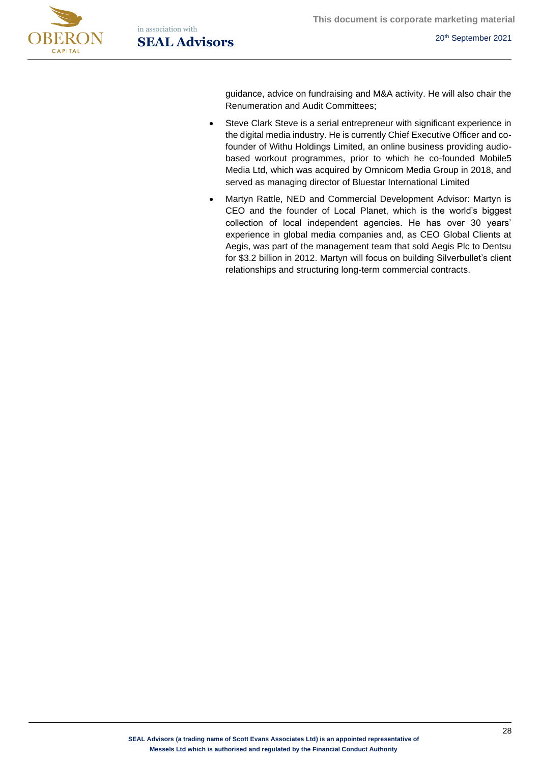



guidance, advice on fundraising and M&A activity. He will also chair the Renumeration and Audit Committees;

- Steve Clark Steve is a serial entrepreneur with significant experience in the digital media industry. He is currently Chief Executive Officer and cofounder of Withu Holdings Limited, an online business providing audiobased workout programmes, prior to which he co-founded Mobile5 Media Ltd, which was acquired by Omnicom Media Group in 2018, and served as managing director of Bluestar International Limited
- Martyn Rattle, NED and Commercial Development Advisor: Martyn is CEO and the founder of Local Planet, which is the world's biggest collection of local independent agencies. He has over 30 years' experience in global media companies and, as CEO Global Clients at Aegis, was part of the management team that sold Aegis Plc to Dentsu for \$3.2 billion in 2012. Martyn will focus on building Silverbullet's client relationships and structuring long-term commercial contracts.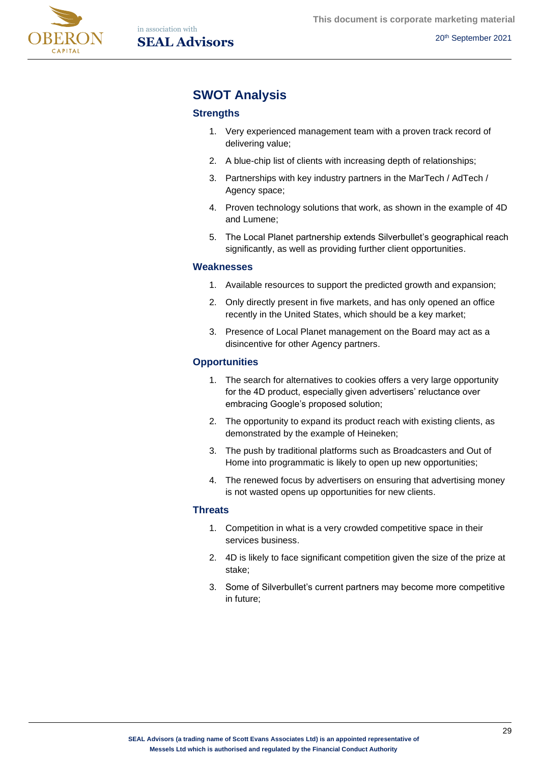

# **SWOT Analysis**

# **Strengths**

- 1. Very experienced management team with a proven track record of delivering value;
- 2. A blue-chip list of clients with increasing depth of relationships;
- 3. Partnerships with key industry partners in the MarTech / AdTech / Agency space;
- 4. Proven technology solutions that work, as shown in the example of 4D and Lumene;
- 5. The Local Planet partnership extends Silverbullet's geographical reach significantly, as well as providing further client opportunities.

# **Weaknesses**

- 1. Available resources to support the predicted growth and expansion;
- 2. Only directly present in five markets, and has only opened an office recently in the United States, which should be a key market;
- 3. Presence of Local Planet management on the Board may act as a disincentive for other Agency partners.

# **Opportunities**

- 1. The search for alternatives to cookies offers a very large opportunity for the 4D product, especially given advertisers' reluctance over embracing Google's proposed solution;
- 2. The opportunity to expand its product reach with existing clients, as demonstrated by the example of Heineken;
- 3. The push by traditional platforms such as Broadcasters and Out of Home into programmatic is likely to open up new opportunities;
- 4. The renewed focus by advertisers on ensuring that advertising money is not wasted opens up opportunities for new clients.

## **Threats**

- 1. Competition in what is a very crowded competitive space in their services business.
- 2. 4D is likely to face significant competition given the size of the prize at stake;
- 3. Some of Silverbullet's current partners may become more competitive in future;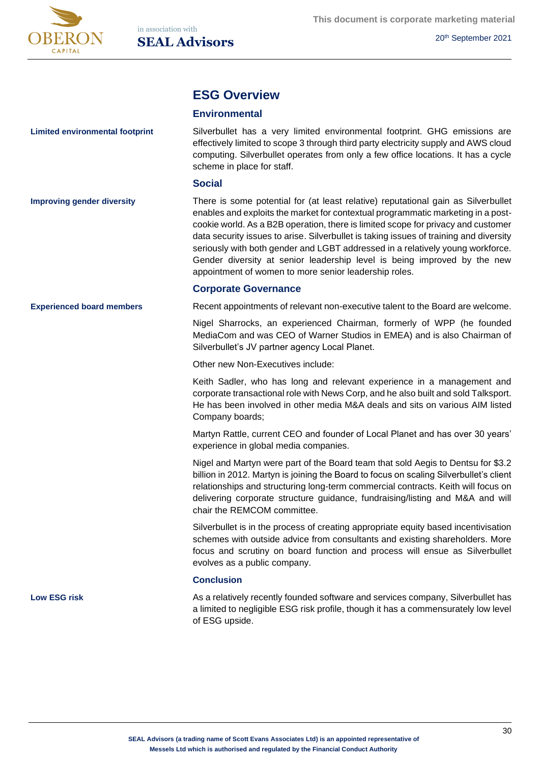

# **ESG Overview**

### **Environmental**

Silverbullet has a very limited environmental footprint. GHG emissions are effectively limited to scope 3 through third party electricity supply and AWS cloud computing. Silverbullet operates from only a few office locations. It has a cycle scheme in place for staff.

#### **Social**

**Improving gender diversity**

**Experienced board members**

**Limited environmental footprint**

There is some potential for (at least relative) reputational gain as Silverbullet enables and exploits the market for contextual programmatic marketing in a postcookie world. As a B2B operation, there is limited scope for privacy and customer data security issues to arise. Silverbullet is taking issues of training and diversity seriously with both gender and LGBT addressed in a relatively young workforce. Gender diversity at senior leadership level is being improved by the new appointment of women to more senior leadership roles.

## **Corporate Governance**

Recent appointments of relevant non-executive talent to the Board are welcome.

Nigel Sharrocks, an experienced Chairman, formerly of WPP (he founded MediaCom and was CEO of Warner Studios in EMEA) and is also Chairman of Silverbullet's JV partner agency Local Planet.

Other new Non-Executives include:

Keith Sadler, who has long and relevant experience in a management and corporate transactional role with News Corp, and he also built and sold Talksport. He has been involved in other media M&A deals and sits on various AIM listed Company boards;

Martyn Rattle, current CEO and founder of Local Planet and has over 30 years' experience in global media companies.

Nigel and Martyn were part of the Board team that sold Aegis to Dentsu for \$3.2 billion in 2012. Martyn is joining the Board to focus on scaling Silverbullet's client relationships and structuring long-term commercial contracts. Keith will focus on delivering corporate structure guidance, fundraising/listing and M&A and will chair the REMCOM committee.

Silverbullet is in the process of creating appropriate equity based incentivisation schemes with outside advice from consultants and existing shareholders. More focus and scrutiny on board function and process will ensue as Silverbullet evolves as a public company.

#### **Conclusion**

**Low ESG risk**

As a relatively recently founded software and services company, Silverbullet has a limited to negligible ESG risk profile, though it has a commensurately low level of ESG upside.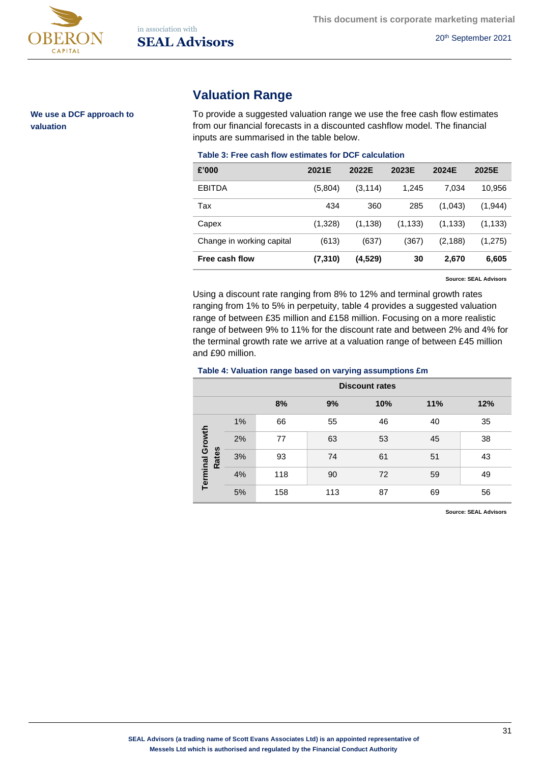

**We use a DCF approach to valuation**

# **Valuation Range**

To provide a suggested valuation range we use the free cash flow estimates from our financial forecasts in a discounted cashflow model. The financial inputs are summarised in the table below.

#### **Table 3: Free cash flow estimates for DCF calculation**

| £'000                     | 2021E   | 2022E    | 2023E    | 2024E    | 2025E    |
|---------------------------|---------|----------|----------|----------|----------|
| <b>EBITDA</b>             | (5,804) | (3, 114) | 1,245    | 7.034    | 10,956   |
| Tax                       | 434     | 360      | 285      | (1,043)  | (1,944)  |
| Capex                     | (1,328) | (1, 138) | (1, 133) | (1, 133) | (1, 133) |
| Change in working capital | (613)   | (637)    | (367)    | (2, 188) | (1,275)  |
| Free cash flow            | (7,310) | (4,529)  | 30       | 2,670    | 6,605    |

**Source: SEAL Advisors**

Using a discount rate ranging from 8% to 12% and terminal growth rates ranging from 1% to 5% in perpetuity, table 4 provides a suggested valuation range of between £35 million and £158 million. Focusing on a more realistic range of between 9% to 11% for the discount rate and between 2% and 4% for the terminal growth rate we arrive at a valuation range of between £45 million and £90 million.

#### **Table 4: Valuation range based on varying assumptions £m**

|                                        | <b>Discount rates</b> |     |     |     |     |     |  |  |
|----------------------------------------|-----------------------|-----|-----|-----|-----|-----|--|--|
|                                        |                       | 8%  | 9%  | 10% | 11% | 12% |  |  |
|                                        | 1%                    | 66  | 55  | 46  | 40  | 35  |  |  |
|                                        | 2%                    | 77  | 63  | 53  | 45  | 38  |  |  |
| <b>Terminal Growth</b><br><b>Rates</b> | 3%                    | 93  | 74  | 61  | 51  | 43  |  |  |
|                                        | 4%                    | 118 | 90  | 72  | 59  | 49  |  |  |
|                                        | 5%                    | 158 | 113 | 87  | 69  | 56  |  |  |

**Source: SEAL Advisors**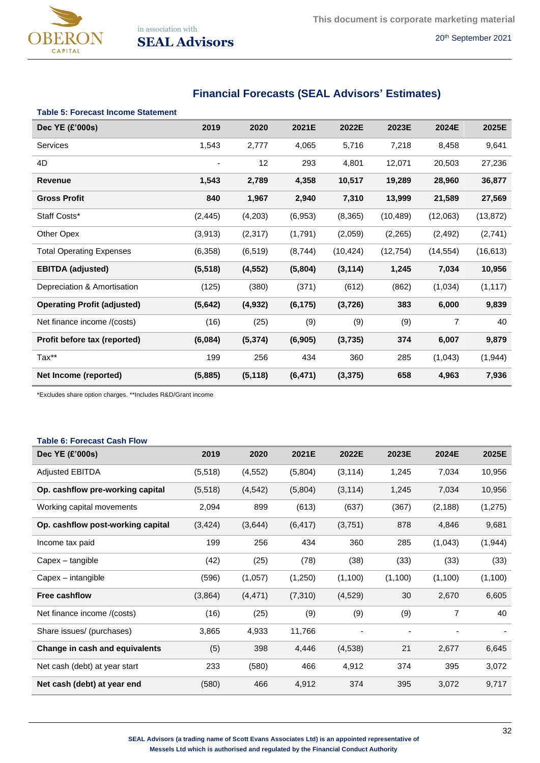

# **Financial Forecasts (SEAL Advisors' Estimates)**

|  |  |  |  |  | <b>Table 5: Forecast Income Statement</b> |
|--|--|--|--|--|-------------------------------------------|
|--|--|--|--|--|-------------------------------------------|

| Dec YE (£'000s)                    | 2019     | 2020     | 2021E    | 2022E     | 2023E     | 2024E     | 2025E     |
|------------------------------------|----------|----------|----------|-----------|-----------|-----------|-----------|
| Services                           | 1,543    | 2,777    | 4,065    | 5,716     | 7,218     | 8,458     | 9,641     |
| 4D                                 |          | 12       | 293      | 4,801     | 12,071    | 20,503    | 27,236    |
| <b>Revenue</b>                     | 1,543    | 2,789    | 4,358    | 10,517    | 19,289    | 28,960    | 36,877    |
| <b>Gross Profit</b>                | 840      | 1,967    | 2,940    | 7,310     | 13,999    | 21,589    | 27,569    |
| Staff Costs*                       | (2, 445) | (4,203)  | (6,953)  | (8, 365)  | (10, 489) | (12,063)  | (13, 872) |
| Other Opex                         | (3,913)  | (2, 317) | (1,791)  | (2,059)   | (2,265)   | (2, 492)  | (2,741)   |
| <b>Total Operating Expenses</b>    | (6,358)  | (6, 519) | (8,744)  | (10, 424) | (12, 754) | (14, 554) | (16, 613) |
| <b>EBITDA</b> (adjusted)           | (5, 518) | (4, 552) | (5,804)  | (3, 114)  | 1,245     | 7,034     | 10,956    |
| Depreciation & Amortisation        | (125)    | (380)    | (371)    | (612)     | (862)     | (1,034)   | (1, 117)  |
| <b>Operating Profit (adjusted)</b> | (5,642)  | (4, 932) | (6, 175) | (3,726)   | 383       | 6,000     | 9,839     |
| Net finance income /(costs)        | (16)     | (25)     | (9)      | (9)       | (9)       | 7         | 40        |
| Profit before tax (reported)       | (6,084)  | (5, 374) | (6, 905) | (3,735)   | 374       | 6,007     | 9,879     |
| Tax**                              | 199      | 256      | 434      | 360       | 285       | (1,043)   | (1,944)   |
| Net Income (reported)              | (5,885)  | (5, 118) | (6, 471) | (3, 375)  | 658       | 4,963     | 7,936     |

\*Excludes share option charges. \*\*Includes R&D/Grant income

| <b>Table 6: Forecast Cash Flow</b> |          |          |          |          |         |                          |          |  |
|------------------------------------|----------|----------|----------|----------|---------|--------------------------|----------|--|
| Dec YE (£'000s)                    | 2019     | 2020     | 2021E    | 2022E    | 2023E   | 2024E                    | 2025E    |  |
| <b>Adjusted EBITDA</b>             | (5,518)  | (4, 552) | (5,804)  | (3, 114) | 1,245   | 7,034                    | 10,956   |  |
| Op. cashflow pre-working capital   | (5,518)  | (4, 542) | (5,804)  | (3, 114) | 1,245   | 7,034                    | 10,956   |  |
| Working capital movements          | 2,094    | 899      | (613)    | (637)    | (367)   | (2, 188)                 | (1, 275) |  |
| Op. cashflow post-working capital  | (3, 424) | (3,644)  | (6, 417) | (3,751)  | 878     | 4,846                    | 9,681    |  |
| Income tax paid                    | 199      | 256      | 434      | 360      | 285     | (1,043)                  | (1, 944) |  |
| Capex - tangible                   | (42)     | (25)     | (78)     | (38)     | (33)    | (33)                     | (33)     |  |
| Capex – intangible                 | (596)    | (1,057)  | (1,250)  | (1,100)  | (1,100) | (1,100)                  | (1, 100) |  |
| <b>Free cashflow</b>               | (3,864)  | (4, 471) | (7, 310) | (4,529)  | 30      | 2,670                    | 6,605    |  |
| Net finance income /(costs)        | (16)     | (25)     | (9)      | (9)      | (9)     | 7                        | 40       |  |
| Share issues/ (purchases)          | 3,865    | 4,933    | 11,766   |          | ۰       | $\overline{\phantom{a}}$ |          |  |
| Change in cash and equivalents     | (5)      | 398      | 4,446    | (4,538)  | 21      | 2,677                    | 6,645    |  |
| Net cash (debt) at year start      | 233      | (580)    | 466      | 4,912    | 374     | 395                      | 3,072    |  |
| Net cash (debt) at year end        | (580)    | 466      | 4,912    | 374      | 395     | 3,072                    | 9,717    |  |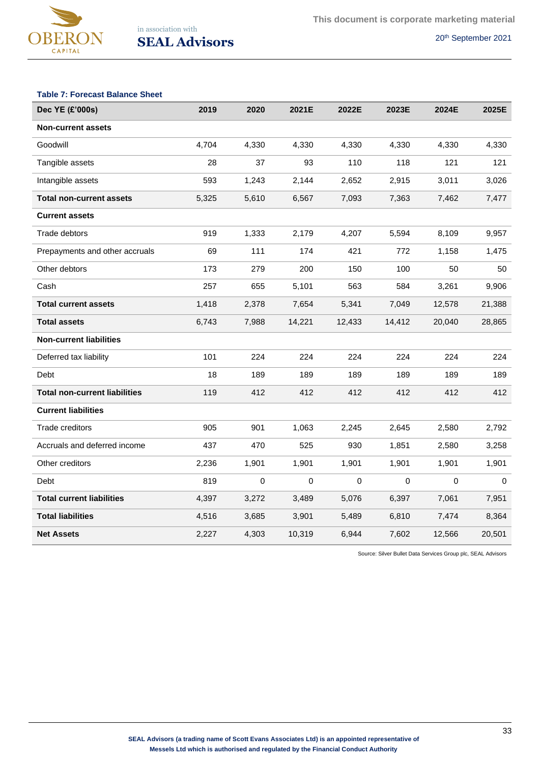

## **Table 7: Forecast Balance Sheet**

| Dec YE (£'000s)                      | 2019  | 2020  | 2021E  | 2022E     | 2023E  | 2024E  | 2025E  |
|--------------------------------------|-------|-------|--------|-----------|--------|--------|--------|
| <b>Non-current assets</b>            |       |       |        |           |        |        |        |
| Goodwill                             | 4,704 | 4,330 | 4,330  | 4,330     | 4,330  | 4,330  | 4,330  |
| Tangible assets                      | 28    | 37    | 93     | 110       | 118    | 121    | 121    |
| Intangible assets                    | 593   | 1,243 | 2,144  | 2,652     | 2,915  | 3,011  | 3,026  |
| <b>Total non-current assets</b>      | 5,325 | 5,610 | 6,567  | 7,093     | 7,363  | 7,462  | 7,477  |
| <b>Current assets</b>                |       |       |        |           |        |        |        |
| Trade debtors                        | 919   | 1,333 | 2,179  | 4,207     | 5,594  | 8,109  | 9,957  |
| Prepayments and other accruals       | 69    | 111   | 174    | 421       | 772    | 1,158  | 1,475  |
| Other debtors                        | 173   | 279   | 200    | 150       | 100    | 50     | 50     |
| Cash                                 | 257   | 655   | 5,101  | 563       | 584    | 3,261  | 9,906  |
| <b>Total current assets</b>          | 1,418 | 2,378 | 7,654  | 5,341     | 7,049  | 12,578 | 21,388 |
| <b>Total assets</b>                  | 6,743 | 7,988 | 14,221 | 12,433    | 14,412 | 20,040 | 28,865 |
| <b>Non-current liabilities</b>       |       |       |        |           |        |        |        |
| Deferred tax liability               | 101   | 224   | 224    | 224       | 224    | 224    | 224    |
| Debt                                 | 18    | 189   | 189    | 189       | 189    | 189    | 189    |
| <b>Total non-current liabilities</b> | 119   | 412   | 412    | 412       | 412    | 412    | 412    |
| <b>Current liabilities</b>           |       |       |        |           |        |        |        |
| Trade creditors                      | 905   | 901   | 1,063  | 2,245     | 2,645  | 2,580  | 2,792  |
| Accruals and deferred income         | 437   | 470   | 525    | 930       | 1,851  | 2,580  | 3,258  |
| Other creditors                      | 2,236 | 1,901 | 1,901  | 1,901     | 1,901  | 1,901  | 1,901  |
| Debt                                 | 819   | 0     | 0      | $\pmb{0}$ | 0      | 0      | 0      |
| <b>Total current liabilities</b>     | 4,397 | 3,272 | 3,489  | 5,076     | 6,397  | 7,061  | 7,951  |
| <b>Total liabilities</b>             | 4,516 | 3,685 | 3,901  | 5,489     | 6,810  | 7,474  | 8,364  |
| <b>Net Assets</b>                    | 2,227 | 4,303 | 10,319 | 6,944     | 7,602  | 12,566 | 20,501 |

Source: Silver Bullet Data Services Group plc, SEAL Advisors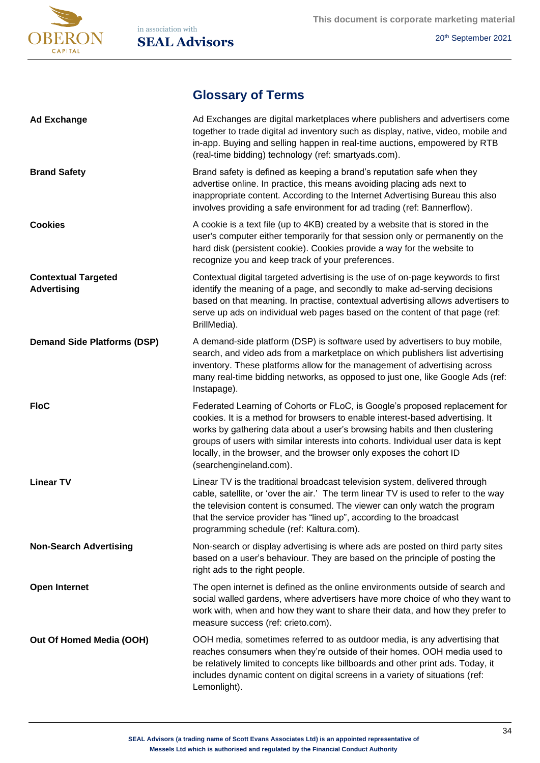

# **Glossary of Terms**

| <b>Ad Exchange</b>                               | Ad Exchanges are digital marketplaces where publishers and advertisers come<br>together to trade digital ad inventory such as display, native, video, mobile and<br>in-app. Buying and selling happen in real-time auctions, empowered by RTB<br>(real-time bidding) technology (ref: smartyads.com).                                                                                                                             |
|--------------------------------------------------|-----------------------------------------------------------------------------------------------------------------------------------------------------------------------------------------------------------------------------------------------------------------------------------------------------------------------------------------------------------------------------------------------------------------------------------|
| <b>Brand Safety</b>                              | Brand safety is defined as keeping a brand's reputation safe when they<br>advertise online. In practice, this means avoiding placing ads next to<br>inappropriate content. According to the Internet Advertising Bureau this also<br>involves providing a safe environment for ad trading (ref: Bannerflow).                                                                                                                      |
| <b>Cookies</b>                                   | A cookie is a text file (up to 4KB) created by a website that is stored in the<br>user's computer either temporarily for that session only or permanently on the<br>hard disk (persistent cookie). Cookies provide a way for the website to<br>recognize you and keep track of your preferences.                                                                                                                                  |
| <b>Contextual Targeted</b><br><b>Advertising</b> | Contextual digital targeted advertising is the use of on-page keywords to first<br>identify the meaning of a page, and secondly to make ad-serving decisions<br>based on that meaning. In practise, contextual advertising allows advertisers to<br>serve up ads on individual web pages based on the content of that page (ref:<br>BrillMedia).                                                                                  |
| <b>Demand Side Platforms (DSP)</b>               | A demand-side platform (DSP) is software used by advertisers to buy mobile,<br>search, and video ads from a marketplace on which publishers list advertising<br>inventory. These platforms allow for the management of advertising across<br>many real-time bidding networks, as opposed to just one, like Google Ads (ref:<br>Instapage).                                                                                        |
| <b>FloC</b>                                      | Federated Learning of Cohorts or FLoC, is Google's proposed replacement for<br>cookies. It is a method for browsers to enable interest-based advertising. It<br>works by gathering data about a user's browsing habits and then clustering<br>groups of users with similar interests into cohorts. Individual user data is kept<br>locally, in the browser, and the browser only exposes the cohort ID<br>(searchengineland.com). |
| <b>Linear TV</b>                                 | Linear TV is the traditional broadcast television system, delivered through<br>cable, satellite, or 'over the air.' The term linear TV is used to refer to the way<br>the television content is consumed. The viewer can only watch the program<br>that the service provider has "lined up", according to the broadcast<br>programming schedule (ref: Kaltura.com).                                                               |
| <b>Non-Search Advertising</b>                    | Non-search or display advertising is where ads are posted on third party sites<br>based on a user's behaviour. They are based on the principle of posting the<br>right ads to the right people.                                                                                                                                                                                                                                   |
| <b>Open Internet</b>                             | The open internet is defined as the online environments outside of search and<br>social walled gardens, where advertisers have more choice of who they want to<br>work with, when and how they want to share their data, and how they prefer to<br>measure success (ref: crieto.com).                                                                                                                                             |
| Out Of Homed Media (OOH)                         | OOH media, sometimes referred to as outdoor media, is any advertising that<br>reaches consumers when they're outside of their homes. OOH media used to<br>be relatively limited to concepts like billboards and other print ads. Today, it<br>includes dynamic content on digital screens in a variety of situations (ref:<br>Lemonlight).                                                                                        |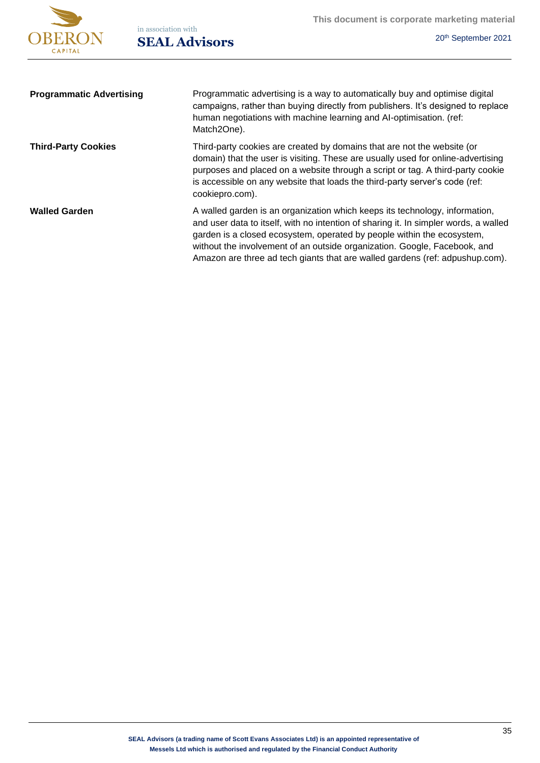

| <b>Programmatic Advertising</b> | Programmatic advertising is a way to automatically buy and optimise digital<br>campaigns, rather than buying directly from publishers. It's designed to replace<br>human negotiations with machine learning and AI-optimisation. (ref:<br>Match2One).                                                                                                                                                      |
|---------------------------------|------------------------------------------------------------------------------------------------------------------------------------------------------------------------------------------------------------------------------------------------------------------------------------------------------------------------------------------------------------------------------------------------------------|
| <b>Third-Party Cookies</b>      | Third-party cookies are created by domains that are not the website (or<br>domain) that the user is visiting. These are usually used for online-advertising<br>purposes and placed on a website through a script or tag. A third-party cookie<br>is accessible on any website that loads the third-party server's code (ref:<br>cookiepro.com).                                                            |
| <b>Walled Garden</b>            | A walled garden is an organization which keeps its technology, information,<br>and user data to itself, with no intention of sharing it. In simpler words, a walled<br>garden is a closed ecosystem, operated by people within the ecosystem,<br>without the involvement of an outside organization. Google, Facebook, and<br>Amazon are three ad tech giants that are walled gardens (ref: adpushup.com). |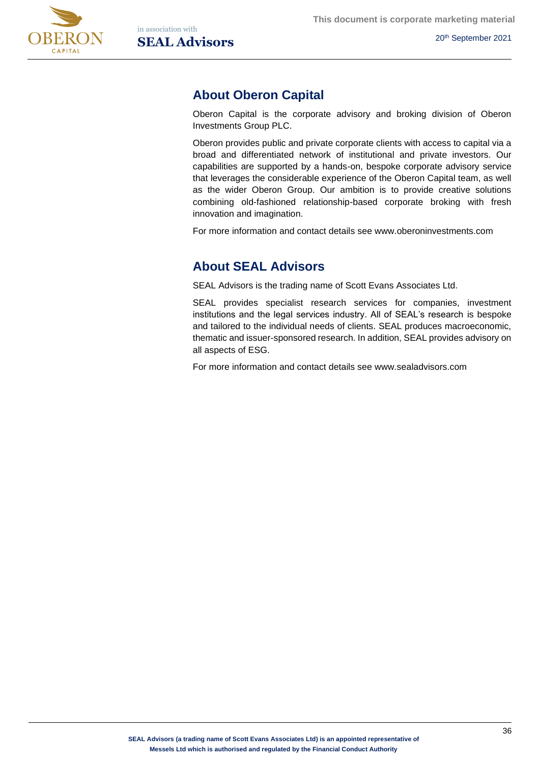



# **About Oberon Capital**

Oberon Capital is the corporate advisory and broking division of Oberon Investments Group PLC.

Oberon provides public and private corporate clients with access to capital via a broad and differentiated network of institutional and private investors. Our capabilities are supported by a hands-on, bespoke corporate advisory service that leverages the considerable experience of the Oberon Capital team, as well as the wider Oberon Group. Our ambition is to provide creative solutions combining old-fashioned relationship-based corporate broking with fresh innovation and imagination.

For more information and contact details see www.oberoninvestments.com

# **About SEAL Advisors**

SEAL Advisors is the trading name of Scott Evans Associates Ltd.

SEAL provides specialist research services for companies, investment institutions and the legal services industry. All of SEAL's research is bespoke and tailored to the individual needs of clients. SEAL produces macroeconomic, thematic and issuer-sponsored research. In addition, SEAL provides advisory on all aspects of ESG.

For more information and contact details see www.sealadvisors.com